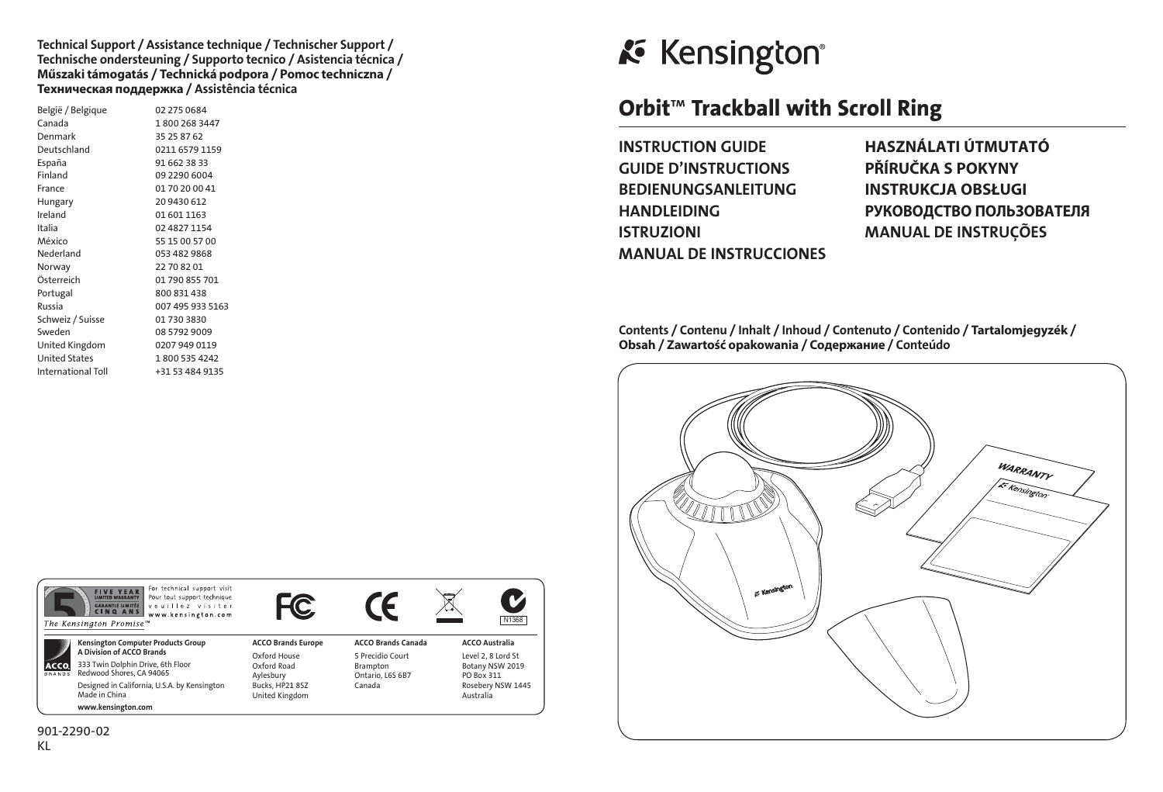#### Technical Support / Assistance technique / Technischer Support / Technische ondersteuning / Supporto tecnico / Asistencia técnica / **Műszaki támogatás** / **Technická podpora** / **Pomoc techniczna** / **Техническая поддержка** / Assistência técnica

| België / Belgique         | 02 275 0684      |
|---------------------------|------------------|
| Canada                    | 1800 268 3447    |
| Denmark                   | 35 25 87 62      |
| Deutschland               | 0211 6579 1159   |
| España                    | 91 662 38 33     |
| Finland                   | 09 2290 6004     |
| France                    | 01 70 20 00 41   |
| Hungary                   | 20 9430 612      |
| Ireland                   | 01 601 1163      |
| Italia                    | 02 4827 1154     |
| México                    | 55 15 00 57 00   |
| Nederland                 | 053 482 9868     |
| Norway                    | 22 70 82 01      |
| Österreich                | 01 790 855 701   |
| Portugal                  | 800 831 438      |
| Russia                    | 007 495 933 5163 |
| Schweiz / Suisse          | 01 730 3830      |
| Sweden                    | 08 5792 9009     |
| United Kingdom            | 0207 949 0119    |
| <b>United States</b>      | 1800 535 4242    |
| <b>International Toll</b> | +31 53 484 9135  |
|                           |                  |

# **K** Kensington®

## Orbit™ Trackball with Scroll Ring

INSTRUCTION GUIDE **HASZNÁLATI ÚTMUTATÓ** GUIDE D'INSTRUCTIONS **PŘÍRUČKA S POKYNY** BEDIENUNGSANLEITUNG **INSTRUKCJA OBSŁUGI** ISTRUZIONI MANUAL DE INSTRUÇÕES MANUAL DE INSTRUCCIONES

HANDLEIDING **РУКОВОДСТВО ПОЛЬЗОВАТЕЛЯ**

Contents / Contenu / Inhalt / Inhoud / Contenuto / Contenido / **Tartalomjegyzék** / **Obsah** / **Zawartość opakowania** / **Содержание** / Conteúdo



|                       | For technical support visit<br><b>FIVE YEAR</b><br>Pour tout support technique<br>veuillez visiter.<br><b>GARANTIE UMITÉE</b><br><b>CINQ ANS</b><br>www.kensington.com<br>The Kensington Promise <sup>50</sup> |                           |                           | ∽<br>N1368            |
|-----------------------|----------------------------------------------------------------------------------------------------------------------------------------------------------------------------------------------------------------|---------------------------|---------------------------|-----------------------|
| ACCO<br><b>BRANDS</b> | <b>Kensington Computer Products Group</b><br>A Division of ACCO Brands                                                                                                                                         | <b>ACCO Brands Europe</b> | <b>ACCO Brands Canada</b> | <b>ACCO Australia</b> |
|                       |                                                                                                                                                                                                                | Oxford House              | 5 Precidio Court          | Level 2, 8 Lord St    |
|                       | 333 Twin Dolphin Drive, 6th Floor<br>Redwood Shores, CA 94065                                                                                                                                                  | Oxford Road               | Brampton                  | Botany NSW 2019       |
|                       |                                                                                                                                                                                                                | Aylesbury                 | Ontario, L6S 6B7          | PO Box 311            |
|                       | Designed in California, U.S.A. by Kensington<br>Made in China                                                                                                                                                  | Bucks, HP21 8SZ           | Canada                    | Rosebery NSW 1445     |
|                       |                                                                                                                                                                                                                | United Kingdom            |                           | Australia             |
|                       | www.kensington.com                                                                                                                                                                                             |                           |                           |                       |
|                       |                                                                                                                                                                                                                |                           |                           |                       |

901-2290-02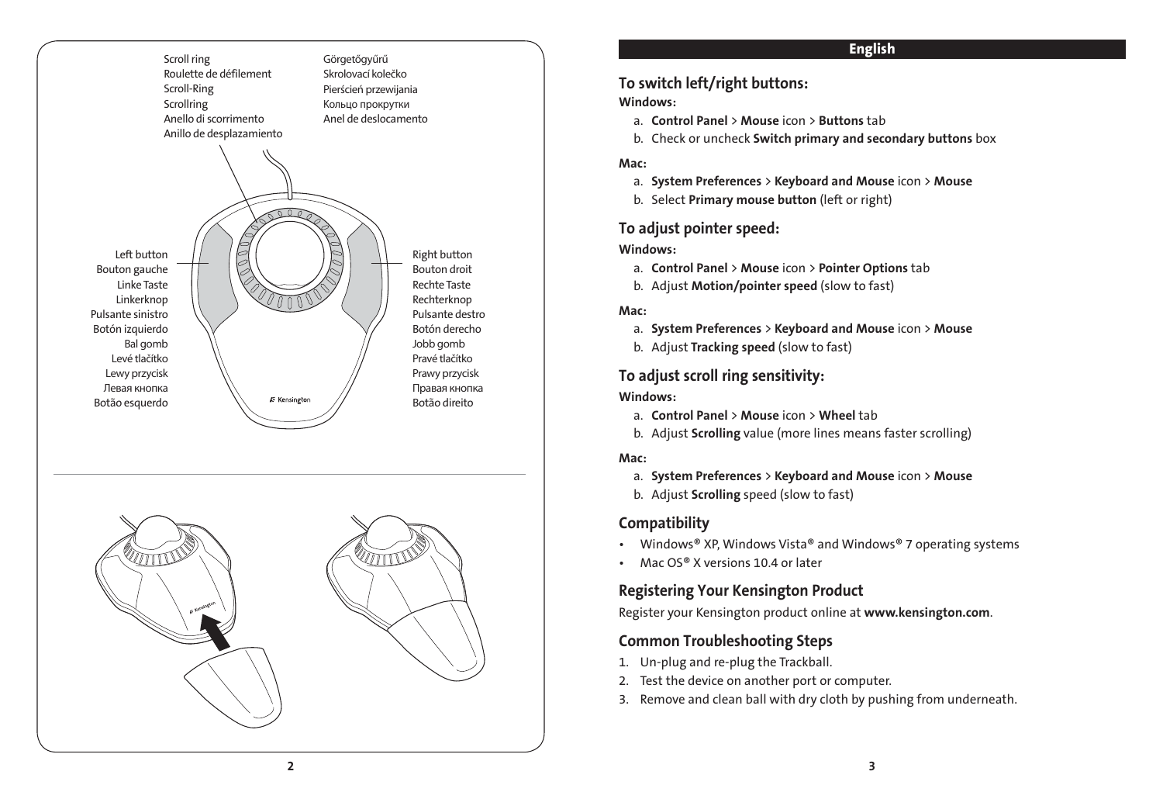



### English

### To switch left/right buttons:

### Windows:

- a. Control Panel > Mouse icon > Buttons tab
- b. Check or uncheck Switch primary and secondary buttons box

### Mac:

- a. System Preferences > Keyboard and Mouse icon > Mouse
- b. Select Primary mouse button (left or right)

### To adjust pointer speed:

### Windows:

- a. Control Panel > Mouse icon > Pointer Options tab
- b. Adjust Motion/pointer speed (slow to fast)

### Mac:

- a. System Preferences > Keyboard and Mouse icon > Mouse
- b. Adjust Tracking speed (slow to fast)

### To adjust scroll ring sensitivity:

### Windows:

- a. Control Panel > Mouse icon > Wheel tab
- b. Adjust Scrolling value (more lines means faster scrolling)

### Mac:

- a. System Preferences > Keyboard and Mouse icon > Mouse
- b. Adjust Scrolling speed (slow to fast)

### **Compatibility**

- Windows® XP, Windows Vista® and Windows® 7 operating systems
- Mac  $OS<sup>®</sup>$  X versions 10.4 or later

### Registering Your Kensington Product

Register your Kensington product online at www.kensington.com.

### Common Troubleshooting Steps

- 1. Un-plug and re-plug the Trackball.
- 2. Test the device on another port or computer.
- 3. Remove and clean ball with dry cloth by pushing from underneath.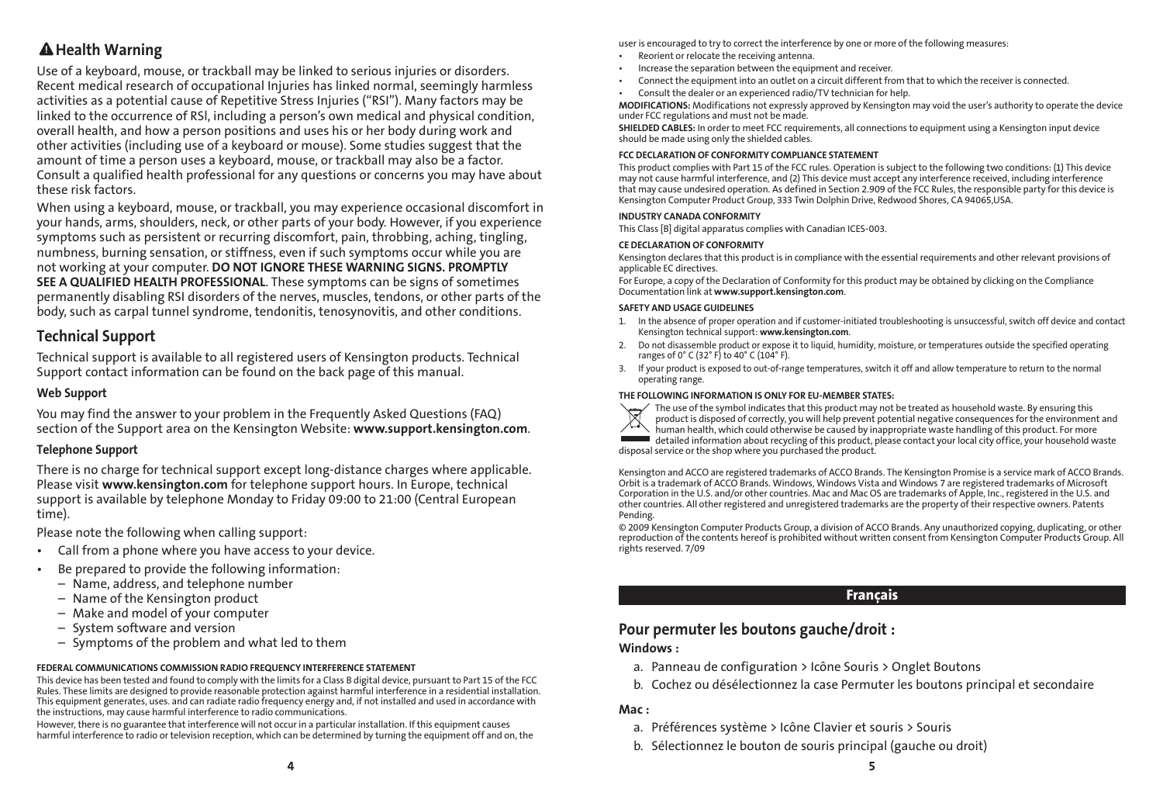### A Health Warning

Use of a keyboard, mouse, or trackball may be linked to serious injuries or disorders. Recent medical research of occupational Injuries has linked normal, seemingly harmless activities as a potential cause of Repetitive Stress Injuries ("RSI"). Many factors may be linked to the occurrence of RSl, including a person's own medical and physical condition, overall health, and how a person positions and uses his or her body during work and other activities (including use of a keyboard or mouse). Some studies suggest that the amount of time a person uses a keyboard, mouse, or trackball may also be a factor. Consult a qualified health professional for any questions or concerns you may have about these risk factors.

When using a keyboard, mouse, or trackball, you may experience occasional discomfort in your hands, arms, shoulders, neck, or other parts of your body. However, if you experience symptoms such as persistent or recurring discomfort, pain, throbbing, aching, tingling, numbness, burning sensation, or stiffness, even if such symptoms occur while you are not working at your computer. DO NOT IGNORE THESE WARNING SIGNS. PROMPTLY SEE A QUALIFIED HEALTH PROFESSIONAL. These symptoms can be signs of sometimes permanently disabling RSI disorders of the nerves, muscles, tendons, or other parts of the body, such as carpal tunnel syndrome, tendonitis, tenosynovitis, and other conditions.

### Technical Support

Technical support is available to all registered users of Kensington products. Technical Support contact information can be found on the back page of this manual.

### Web Support

You may find the answer to your problem in the Frequently Asked Questions (FAQ) section of the Support area on the Kensington Website: www.support.kensington.com.

### Telephone Support

There is no charge for technical support except long-distance charges where applicable. Please visit www.kensington.com for telephone support hours. In Europe, technical support is available by telephone Monday to Friday 09:00 to 21:00 (Central European time).

Please note the following when calling support:

- Call from a phone where you have access to your device.
- Be prepared to provide the following information:
	- Name, address, and telephone number
	- Name of the Kensington product
	- Make and model of your computer
	- System software and version
	- Symptoms of the problem and what led to them

### FEDERAL COMMUNICATIONS COMMISSION RADIO FREQUENCY INTERFERENCE STATEMENT

This device has been tested and found to comply with the limits for a Class B digital device, pursuant to Part 15 of the FCC Rules. These limits are designed to provide reasonable protection against harmful interference in a residential installation. This equipment generates, uses. and can radiate radio frequency energy and, if not installed and used in accordance with the instructions, may cause harmful interference to radio communications.

However, there is no guarantee that interference will not occur in a particular installation. If this equipment causes harmful interference to radio or television reception, which can be determined by turning the equipment off and on, the user is encouraged to try to correct the interference by one or more of the following measures:

- Reorient or relocate the receiving antenna.
- Increase the separation between the equipment and receiver
- Connect the equipment into an outlet on a circuit different from that to which the receiver is connected.
- Consult the dealer or an experienced radio/TV technician for help.

MODIFICATIONS: Modifications not expressly approved by Kensington may void the user's authority to operate the device under FCC regulations and must not be made.

SHIELDED CABLES: In order to meet FCC requirements, all connections to equipment using a Kensington input device should be made using only the shielded cables.

#### FCC DECLARATION OF CONFORMITY COMPLIANCE STATEMENT

This product complies with Part 15 of the FCC rules. Operation is subject to the following two conditions: (1) This device may not cause harmful interference, and (2) This device must accept any interference received, including interference that may cause undesired operation. As defined in Section 2.909 of the FCC Rules, the responsible party for this device is Kensington Computer Product Group, 333 Twin Dolphin Drive, Redwood Shores, CA 94065,USA.

#### INDUSTRY CANADA CONFORMITY

This Class [B] digital apparatus complies with Canadian ICES-003.

#### CE DECLARATION OF CONFORMITY

Kensington declares that this product is in compliance with the essential requirements and other relevant provisions of applicable EC directives.

For Europe, a copy of the Declaration of Conformity for this product may be obtained by clicking on the Compliance Documentation link at www.support.kensington.com.

#### SAFETY AND USAGE GUIDELINES

- 1. In the absence of proper operation and if customer-initiated troubleshooting is unsuccessful, switch off device and contact Kensington technical support: www.kensington.com.
- 2. Do not disassemble product or expose it to liquid, humidity, moisture, or temperatures outside the specified operating ranges of 0° C (32° F) to 40° C (104° F).
- 3. If your product is exposed to out-of-range temperatures, switch it off and allow temperature to return to the normal operating range.



THE FOLLOWING INFORMATION IS ONLY FOR EU-MEMBER STATES: The use of the symbol indicates that this product may not be treated as household waste. By ensuring this product is disposed of correctly, you will help prevent potential negative consequences for the environment and human health, which could otherwise be caused by inappropriate waste handling of this product. For more detailed information about recycling of this product, please contact your local city office, your household waste disposal service or the shop where you purchased the product.

Kensington and ACCO are registered trademarks of ACCO Brands. The Kensington Promise is a service mark of ACCO Brands. Orbit is a trademark of ACCO Brands. Windows, Windows Vista and Windows 7 are registered trademarks of Microsoft Corporation in the U.S. and/or other countries. Mac and Mac OS are trademarks of Apple, Inc., registered in the U.S. and other countries. All other registered and unregistered trademarks are the property of their respective owners. Patents Pending.

© 2009 Kensington Computer Products Group, a division of ACCO Brands. Any unauthorized copying, duplicating, or other reproduction of the contents hereof is prohibited without written consent from Kensington Computer Products Group. All rights reserved. 7/09

### Français

### Pour permuter les boutons gauche/droit :

#### Windows :

- a. Panneau de configuration > Icône Souris > Onglet Boutons
- b. Cochez ou désélectionnez la case Permuter les boutons principal et secondaire

#### Mac :

- a. Préférences système > Icône Clavier et souris > Souris
- b. Sélectionnez le bouton de souris principal (gauche ou droit)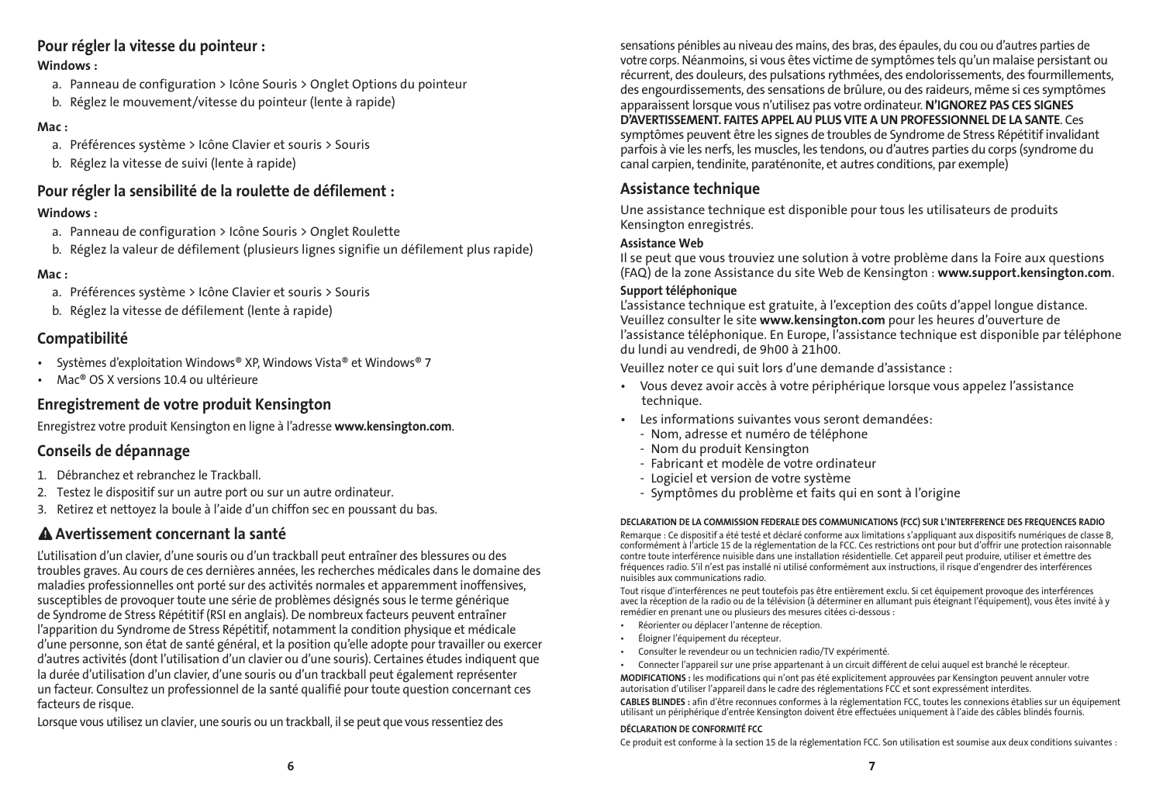### Pour régler la vitesse du pointeur :

### Windows :

- a. Panneau de configuration > Icône Souris > Onglet Options du pointeur
- b. Réglez le mouvement/vitesse du pointeur (lente à rapide)

### Mac :

- a. Préférences système > Icône Clavier et souris > Souris
- b. Réglez la vitesse de suivi (lente à rapide)

### Pour régler la sensibilité de la roulette de défilement :

### Windows :

- a. Panneau de configuration > Icône Souris > Onglet Roulette
- b. Réglez la valeur de défilement (plusieurs lignes signifie un défilement plus rapide)

### Mac :

- a. Préférences système > Icône Clavier et souris > Souris
- b. Réglez la vitesse de défilement (lente à rapide)

### Compatibilité

- Systèmes d'exploitation Windows® XP, Windows Vista® et Windows® 7
- Mac<sup>®</sup> OS X versions 10.4 ou ultérieure

### Enregistrement de votre produit Kensington

Enregistrez votre produit Kensington en ligne à l'adresse www.kensington.com.

### Conseils de dépannage

- 1. Débranchez et rebranchez le Trackball.
- 2. Testez le dispositif sur un autre port ou sur un autre ordinateur.
- 3. Retirez et nettoyez la boule à l'aide d'un chiffon sec en poussant du bas.

## Avertissement concernant la santé

L'utilisation d'un clavier, d'une souris ou d'un trackball peut entraîner des blessures ou des troubles graves. Au cours de ces dernières années, les recherches médicales dans le domaine des maladies professionnelles ont porté sur des activités normales et apparemment inoffensives, susceptibles de provoquer toute une série de problèmes désignés sous le terme générique de Syndrome de Stress Répétitif (RSI en anglais). De nombreux facteurs peuvent entraîner l'apparition du Syndrome de Stress Répétitif, notamment la condition physique et médicale d'une personne, son état de santé général, et la position qu'elle adopte pour travailler ou exercer d'autres activités (dont l'utilisation d'un clavier ou d'une souris). Certaines études indiquent que la durée d'utilisation d'un clavier, d'une souris ou d'un trackball peut également représenter un facteur. Consultez un professionnel de la santé qualifié pour toute question concernant ces facteurs de risque.

Lorsque vous utilisez un clavier, une souris ou un trackball, il se peut que vous ressentiez des

sensations pénibles au niveau des mains, des bras, des épaules, du cou ou d'autres parties de votre corps. Néanmoins, si vous êtes victime de symptômes tels qu'un malaise persistant ou récurrent, des douleurs, des pulsations rythmées, des endolorissements, des fourmillements, des engourdissements, des sensations de brûlure, ou des raideurs, même si ces symptômes apparaissent lorsque vous n'utilisez pas votre ordinateur. N'IGNOREZ PAS CES SIGNES D'AVERTISSEMENT. FAITES APPEL AU PLUS VITE A UN PROFESSIONNEL DE LA SANTE. Ces symptômes peuvent être les signes de troubles de Syndrome de Stress Répétitif invalidant parfois à vie les nerfs, les muscles, les tendons, ou d'autres parties du corps (syndrome du canal carpien, tendinite, paraténonite, et autres conditions, par exemple)

### Assistance technique

Une assistance technique est disponible pour tous les utilisateurs de produits Kensington enregistrés.

### Assistance Web

Il se peut que vous trouviez une solution à votre problème dans la Foire aux questions (FAQ) de la zone Assistance du site Web de Kensington : www.support.kensington.com.

### Support téléphonique

L'assistance technique est gratuite, à l'exception des coûts d'appel longue distance. Veuillez consulter le site www.kensington.com pour les heures d'ouverture de l'assistance téléphonique. En Europe, l'assistance technique est disponible par téléphone du lundi au vendredi, de 9h00 à 21h00.

Veuillez noter ce qui suit lors d'une demande d'assistance :

- • Vous devez avoir accès à votre périphérique lorsque vous appelez l'assistance technique.
- • Les informations suivantes vous seront demandées:
	- Nom, adresse et numéro de téléphone
	- Nom du produit Kensington
	- Fabricant et modèle de votre ordinateur
	- Logiciel et version de votre système
	- Symptômes du problème et faits qui en sont à l'origine

#### DECLARATION DE LA COMMISSION FEDERALE DES COMMUNICATIONS (FCC) SUR L'INTERFERENCE DES FREQUENCES RADIO

Remarque : Ce dispositif a été testé et déclaré conforme aux limitations s'appliquant aux dispositifs numériques de classe B, conformément à l'article 15 de la réglementation de la FCC. Ces restrictions ont pour but d'offrir une protection raisonnable contre toute interférence nuisible dans une installation résidentielle. Cet appareil peut produire, utiliser et émettre des fréquences radio. S'il n'est pas installé ni utilisé conformément aux instructions, il risque d'engendrer des interférences nuisibles aux communications radio.

Tout risque d'interférences ne peut toutefois pas être entièrement exclu. Si cet équipement provoque des interférences avec la réception de la radio ou de la télévision (à déterminer en allumant puis éteignant l'équipement), vous êtes invité à y remédier en prenant une ou plusieurs des mesures citées ci-dessous :

- Réorienter ou déplacer l'antenne de réception.
- • Éloigner l'équipement du récepteur.
- Consulter le revendeur ou un technicien radio/TV expérimenté.
- Connecter l'appareil sur une prise appartenant à un circuit différent de celui auquel est branché le récepteur.

MODIFICATIONS : les modifications qui n'ont pas été explicitement approuvées par Kensington peuvent annuler votre autorisation d'utiliser l'appareil dans le cadre des réglementations FCC et sont expressément interdites.

CABLES BLINDES : afin d'être reconnues conformes à la réglementation FCC, toutes les connexions établies sur un équipement utilisant un périphérique d'entrée Kensington doivent être effectuées uniquement à l'aide des câbles blindés fournis.

#### DÉCLARATION DE CONFORMITÉ FCC

Ce produit est conforme à la section 15 de la réglementation FCC. Son utilisation est soumise aux deux conditions suivantes :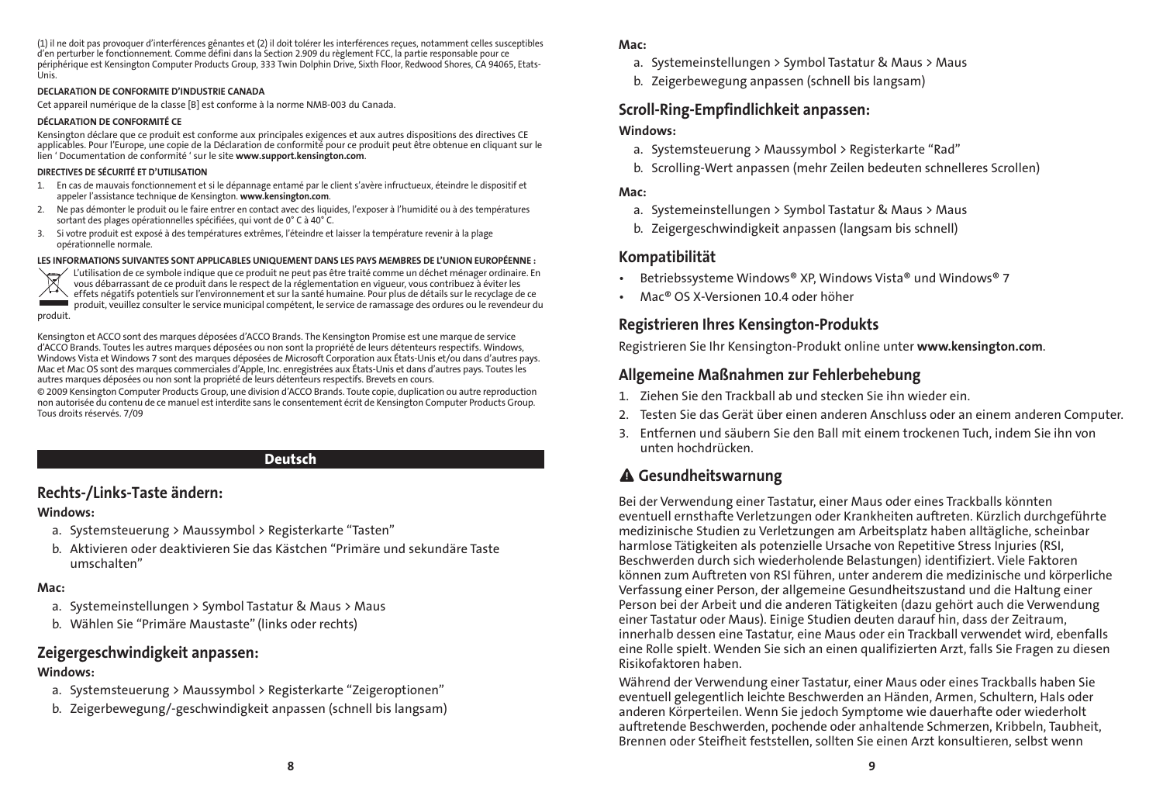(1) il ne doit pas provoquer d'interférences gênantes et (2) il doit tolérer les interférences reçues, notamment celles susceptibles d'en perturber le fonctionnement. Comme défini dans la Section 2.909 du règlement FCC, la partie responsable pour ce périphérique est Kensington Computer Products Group, 333 Twin Dolphin Drive, Sixth Floor, Redwood Shores, CA 94065, Etats-Unis.

#### DECLARATION DE CONFORMITE D'INDUSTRIE CANADA

Cet appareil numérique de la classe [B] est conforme à la norme NMB-003 du Canada.

#### DÉCLARATION DE CONFORMITÉ CE

Kensington déclare que ce produit est conforme aux principales exigences et aux autres dispositions des directives CE applicables. Pour l'Europe, une copie de la Déclaration de conformité pour ce produit peut être obtenue en cliquant sur le lien ' Documentation de conformité ' sur le site www.support.kensington.com.

#### DIRECTIVES DE SÉCURITÉ ET D'UTILISATION

- 1. En cas de mauvais fonctionnement et si le dépannage entamé par le client s'avère infructueux, éteindre le dispositif et appeler l'assistance technique de Kensington. www.kensington.com.
- 2. Ne pas démonter le produit ou le faire entrer en contact avec des liquides, l'exposer à l'humidité ou à des températures sortant des plages opérationnelles spécifiées, qui vont de 0° C à 40° C.
- 3. Si votre produit est exposé à des températures extrêmes, l'éteindre et laisser la température revenir à la plage opérationnelle normale.

: LES INFORMATIONS SUIVANTES SONT APPLICABLES UNIQUEMENT DANS LES PAYS MEMBRES DE L'UNION EUROPEENNE<br>Virtilisation de ce symbole indique que ce produit ne peut pas être traité comme un déchet ménager ordinaire. En<br>Virtili effets négatifs potentiels sur l'environnement et sur la santé humaine. Pour plus de détails sur le recyclage de ce produit, veuillez consulter le service municipal compétent, le service de ramassage des ordures ou le revendeur du produit.

Kensington et ACCO sont des marques déposées d'ACCO Brands. The Kensington Promise est une marque de service d'ACCO Brands. Toutes les autres marques déposées ou non sont la propriété de leurs détenteurs respectifs. Windows, Windows Vista et Windows 7 sont des marques déposées de Microsoft Corporation aux États-Unis et/ou dans d'autres pays. Mac et Mac OS sont des marques commerciales d'Apple, Inc. enregistrées aux États-Unis et dans d'autres pays. Toutes les autres marques déposées ou non sont la propriété de leurs détenteurs respectifs. Brevets en cours.

© 2009 Kensington Computer Products Group, une division d'ACCO Brands. Toute copie, duplication ou autre reproduction non autorisée du contenu de ce manuel est interdite sans le consentement écrit de Kensington Computer Products Group. Tous droits réservés. 7/09

### Deutsch

### Rechts-/Links-Taste ändern:

#### Windows:

- a. Systemsteuerung > Maussymbol > Registerkarte "Tasten"
- b. Aktivieren oder deaktivieren Sie das Kästchen "Primäre und sekundäre Taste umschalten"

#### Mac:

- a. Systemeinstellungen > Symbol Tastatur & Maus > Maus
- b. Wählen Sie "Primäre Maustaste" (links oder rechts)

### Zeigergeschwindigkeit anpassen:

#### Windows:

- a. Systemsteuerung > Maussymbol > Registerkarte "Zeigeroptionen"
- b. Zeigerbewegung/-geschwindigkeit anpassen (schnell bis langsam)

#### Mac:

- a. Systemeinstellungen > Symbol Tastatur & Maus > Maus
- b. Zeigerbewegung anpassen (schnell bis langsam)

### Scroll-Ring-Empfindlichkeit anpassen:

#### Windows:

- a. Systemsteuerung > Maussymbol > Registerkarte "Rad"
- b. Scrolling-Wert anpassen (mehr Zeilen bedeuten schnelleres Scrollen)

#### Mac:

- a. Systemeinstellungen > Symbol Tastatur & Maus > Maus
- b. Zeigergeschwindigkeit anpassen (langsam bis schnell)

### Kompatibilität

- Betriebssysteme Windows® XP, Windows Vista® und Windows® 7
- Mac® OS X-Versionen 10.4 oder höher

### Registrieren Ihres Kensington-Produkts

Registrieren Sie Ihr Kensington-Produkt online unter www.kensington.com.

### Allgemeine Maßnahmen zur Fehlerbehebung

- 1. Ziehen Sie den Trackball ab und stecken Sie ihn wieder ein.
- 2. Testen Sie das Gerät über einen anderen Anschluss oder an einem anderen Computer.
- 3. Entfernen und säubern Sie den Ball mit einem trockenen Tuch, indem Sie ihn von unten hochdrücken.

### Gesundheitswarnung

Bei der Verwendung einer Tastatur, einer Maus oder eines Trackballs könnten eventuell ernsthafte Verletzungen oder Krankheiten auftreten. Kürzlich durchgeführte medizinische Studien zu Verletzungen am Arbeitsplatz haben alltägliche, scheinbar harmlose Tätigkeiten als potenzielle Ursache von Repetitive Stress Injuries (RSI, Beschwerden durch sich wiederholende Belastungen) identifiziert. Viele Faktoren können zum Auftreten von RSI führen, unter anderem die medizinische und körperliche Verfassung einer Person, der allgemeine Gesundheitszustand und die Haltung einer Person bei der Arbeit und die anderen Tätigkeiten (dazu gehört auch die Verwendung einer Tastatur oder Maus). Einige Studien deuten darauf hin, dass der Zeitraum, innerhalb dessen eine Tastatur, eine Maus oder ein Trackball verwendet wird, ebenfalls eine Rolle spielt. Wenden Sie sich an einen qualifizierten Arzt, falls Sie Fragen zu diesen Risikofaktoren haben.

Während der Verwendung einer Tastatur, einer Maus oder eines Trackballs haben Sie eventuell gelegentlich leichte Beschwerden an Händen, Armen, Schultern, Hals oder anderen Körperteilen. Wenn Sie jedoch Symptome wie dauerhafte oder wiederholt auftretende Beschwerden, pochende oder anhaltende Schmerzen, Kribbeln, Taubheit, Brennen oder Steifheit feststellen, sollten Sie einen Arzt konsultieren, selbst wenn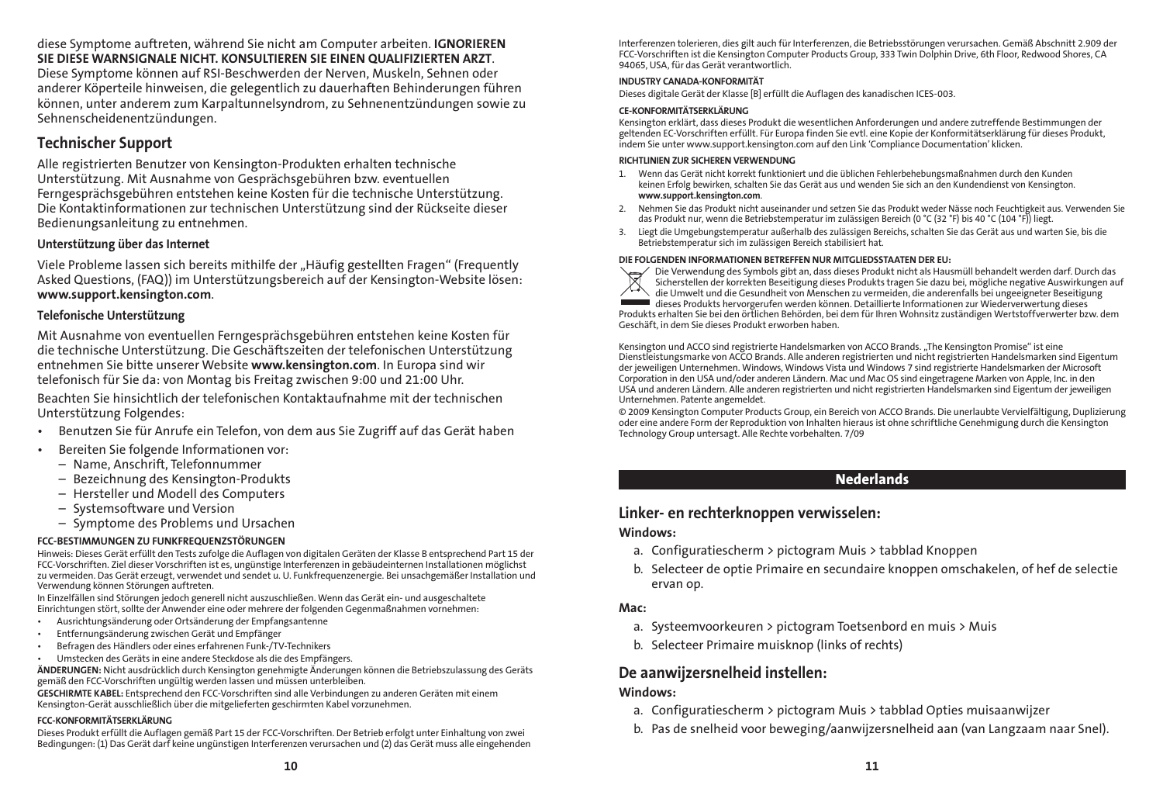diese Symptome auftreten, während Sie nicht am Computer arbeiten. IGNORIEREN SIE DIESE WARNSIGNALE NICHT. KONSULTIEREN SIE EINEN QUALIFIZIERTEN ARZT.

Diese Symptome können auf RSI-Beschwerden der Nerven, Muskeln, Sehnen oder anderer Köperteile hinweisen, die gelegentlich zu dauerhaften Behinderungen führen können, unter anderem zum Karpaltunnelsyndrom, zu Sehnenentzündungen sowie zu Sehnenscheidenentzündungen.

### Technischer Support

Alle registrierten Benutzer von Kensington-Produkten erhalten technische Unterstützung. Mit Ausnahme von Gesprächsgebühren bzw. eventuellen Ferngesprächsgebühren entstehen keine Kosten für die technische Unterstützung. Die Kontaktinformationen zur technischen Unterstützung sind der Rückseite dieser Bedienungsanleitung zu entnehmen.

### Unterstützung über das Internet

Viele Probleme lassen sich bereits mithilfe der "Häufig gestellten Fragen" (Frequently Asked Questions, (FAQ)) im Unterstützungsbereich auf der Kensington-Website lösen: www.support.kensington.com.

#### Telefonische Unterstützung

Mit Ausnahme von eventuellen Ferngesprächsgebühren entstehen keine Kosten für die technische Unterstützung. Die Geschäftszeiten der telefonischen Unterstützung entnehmen Sie bitte unserer Website www.kensington.com. In Europa sind wir telefonisch für Sie da: von Montag bis Freitag zwischen 9:00 und 21:00 Uhr. Beachten Sie hinsichtlich der telefonischen Kontaktaufnahme mit der technischen

Unterstützung Folgendes:

- Benutzen Sie für Anrufe ein Telefon, von dem aus Sie Zugriff auf das Gerät haben
- • Bereiten Sie folgende Informationen vor:
	- Name, Anschrift, Telefonnummer
	- Bezeichnung des Kensington-Produkts
	- Hersteller und Modell des Computers
	- – Systemsoftware und Version
	- Symptome des Problems und Ursachen

### FCC-BESTIMMUNGEN ZU FUNKFREQUENZSTÖRUNGEN

Hinweis: Dieses Gerät erfüllt den Tests zufolge die Auflagen von digitalen Geräten der Klasse B entsprechend Part 15 der FCC-Vorschriften. Ziel dieser Vorschriften ist es, ungünstige Interferenzen in gebäudeinternen Installationen möglichst<br>zu vermeiden. Das Gerät erzeugt, verwendet und sendet u. U. Funkfrequenzenergie. Bei unsachgemäßer Ins Verwendung können Störungen auftreten.

In Einzelfällen sind Störungen jedoch generell nicht auszuschließen. Wenn das Gerät ein- und ausgeschaltete Einrichtungen stört, sollte der Anwender eine oder mehrere der folgenden Gegenmaßnahmen vornehmen:

- Ausrichtungsänderung oder Ortsänderung der Empfangsantenne
- Entfernungsänderung zwischen Gerät und Empfänger
- Befragen des Händlers oder eines erfahrenen Funk-/TV-Technikers
- Umstecken des Geräts in eine andere Steckdose als die des Empfängers.

ÄNDERUNGEN: Nicht ausdrücklich durch Kensington genehmigte Änderungen können die Betriebszulassung des Geräts gemäß den FCC-Vorschriften ungültig werden lassen und müssen unterbleiben.

GESCHIRMTE KABEL: Entsprechend den FCC-Vorschriften sind alle Verbindungen zu anderen Geräten mit einem Kensington-Gerät ausschließlich über die mitgelieferten geschirmten Kabel vorzunehmen.

### FCC-KONFORMITÄTSERKLÄRUNG

Dieses Produkt erfüllt die Auflagen gemäß Part 15 der FCC-Vorschriften. Der Betrieb erfolgt unter Einhaltung von zwei Bedingungen: (1) Das Gerät darf keine ungünstigen Interferenzen verursachen und (2) das Gerät muss alle eingehenden

Interferenzen tolerieren, dies gilt auch für Interferenzen, die Betriebsstörungen verursachen. Gemäß Abschnitt 2.909 der FCC-Vorschriften ist die Kensington Computer Products Group, 333 Twin Dolphin Drive, 6th Floor, Redwood Shores, CA 94065, USA, für das Gerät verantwortlich.

#### INDUSTRY CANADA-KONFORMITÄT

Dieses digitale Gerät der Klasse [B] erfüllt die Auflagen des kanadischen ICES-003.

#### CE-KONFORMITÄTSERKLÄRUNG

Kensington erklärt, dass dieses Produkt die wesentlichen Anforderungen und andere zutreffende Bestimmungen der geltenden EC-Vorschriften erfüllt. Für Europa finden Sie evtl. eine Kopie der Konformitätserklärung für dieses Produkt, indem Sie unter www.support.kensington.com auf den Link 'Compliance Documentation' klicken.

#### RICHTLINIEN ZUR SICHEREN VERWENDUNG

- 1. Wenn das Gerät nicht korrekt funktioniert und die üblichen Fehlerbehebungsmaßnahmen durch den Kunden keinen Erfolg bewirken, schalten Sie das Gerät aus und wenden Sie sich an den Kundendienst von Kensington. www.support.kensington.com.
- 2. Nehmen Sie das Produkt nicht auseinander und setzen Sie das Produkt weder Nässe noch Feuchtigkeit aus. Verwenden Sie das Produkt nur, wenn die Betriebstemperatur im zulässigen Bereich (0 °C (32 °F) bis 40 °C (104 °F)) liegt.
- 3. Liegt die Umgebungstemperatur außerhalb des zulässigen Bereichs, schalten Sie das Gerät aus und warten Sie, bis die Betriebstemperatur sich im zulässigen Bereich stabilisiert hat.

#### DIE FOLGENDEN INFORMATIONEN BETREFFEN NUR MITGLIEDSSTAATEN DER EU:



Die Verwendung des Symbols gibt an, dass dieses Produkt nicht als Hausmüll behandelt werden darf. Durch das Sicherstellen der korrekten Beseitigung dieses Produkts tragen Sie dazu bei, mögliche negative Auswirkungen auf die Umwelt und die Gesundheit von Menschen zu vermeiden, die anderenfalls bei ungeeigneter Beseitigung dieses Produkts hervorgerufen werden können. Detaillierte Informationen zur Wiederverwertung dieses Produkts erhalten Sie bei den örtlichen Behörden, bei dem für Ihren Wohnsitz zuständigen Wertstoffverwerter bzw. dem Geschäft, in dem Sie dieses Produkt erworben haben.

Kensington und ACCO sind registrierte Handelsmarken von ACCO Brands. "The Kensington Promise" ist eine Dienstleistungsmarke von ACCO Brands. Alle anderen registrierten und nicht registrierten Handelsmarken sind Eigentum der jeweiligen Unternehmen. Windows, Windows Vista und Windows 7 sind registrierte Handelsmarken der Microsoft Corporation in den USA und/oder anderen Ländern. Mac und Mac OS sind eingetragene Marken von Apple, Inc. in den USA und anderen Ländern. Alle anderen registrierten und nicht registrierten Handelsmarken sind Eigentum der jeweiligen Unternehmen. Patente angemeldet.

© 2009 Kensington Computer Products Group, ein Bereich von ACCO Brands. Die unerlaubte Vervielfältigung, Duplizierung oder eine andere Form der Reproduktion von Inhalten hieraus ist ohne schriftliche Genehmigung durch die Kensington Technology Group untersagt. Alle Rechte vorbehalten. 7/09

### **Nederlands**

### Linker- en rechterknoppen verwisselen:

### Windows:

- a. Configuratiescherm > pictogram Muis > tabblad Knoppen
- b. Selecteer de optie Primaire en secundaire knoppen omschakelen, of hef de selectie ervan op.

### Mac:

- a. Systeemvoorkeuren > pictogram Toetsenbord en muis > Muis
- b. Selecteer Primaire muisknop (links of rechts)

### De aanwijzersnelheid instellen:

### Windows:

- a. Configuratiescherm > pictogram Muis > tabblad Opties muisaanwijzer
- b. Pas de snelheid voor beweging/aanwijzersnelheid aan (van Langzaam naar Snel).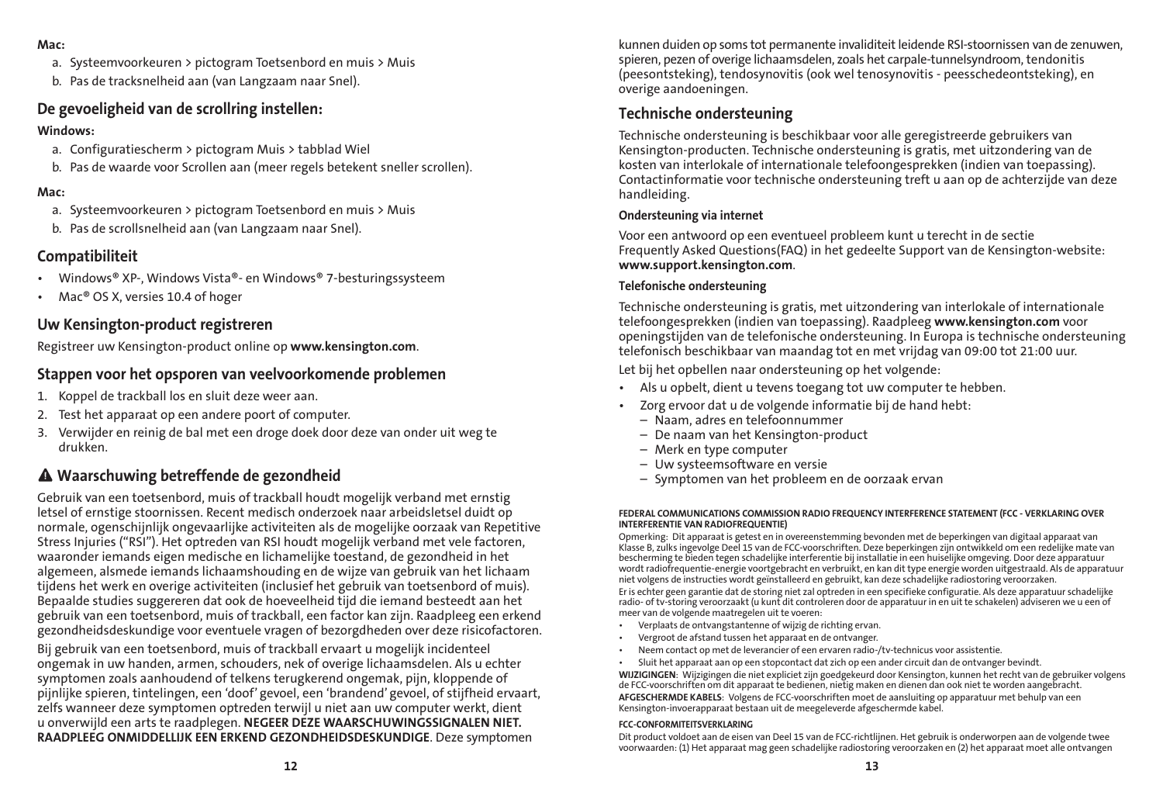#### Mac:

- a. Systeemvoorkeuren > pictogram Toetsenbord en muis > Muis
- b. Pas de tracksnelheid aan (van Langzaam naar Snel).

### De gevoeligheid van de scrollring instellen:

### Windows:

- a. Configuratiescherm > pictogram Muis > tabblad Wiel
- b. Pas de waarde voor Scrollen aan (meer regels betekent sneller scrollen).

### Mac:

- a. Systeemvoorkeuren > pictogram Toetsenbord en muis > Muis
- b. Pas de scrollsnelheid aan (van Langzaam naar Snel).

### Compatibiliteit

- Windows® XP-, Windows Vista®- en Windows® 7-besturingssysteem
- • Mac® OS X, versies 10.4 of hoger

### Uw Kensington-product registreren

Registreer uw Kensington-product online op www.kensington.com.

### Stappen voor het opsporen van veelvoorkomende problemen

- 1. Koppel de trackball los en sluit deze weer aan.
- 2. Test het apparaat op een andere poort of computer.
- 3. Verwijder en reinig de bal met een droge doek door deze van onder uit weg te drukken.

### Waarschuwing betreffende de gezondheid

Gebruik van een toetsenbord, muis of trackball houdt mogelijk verband met ernstig letsel of ernstige stoornissen. Recent medisch onderzoek naar arbeidsletsel duidt op normale, ogenschijnlijk ongevaarlijke activiteiten als de mogelijke oorzaak van Repetitive Stress Injuries ("RSI"). Het optreden van RSI houdt mogelijk verband met vele factoren, waaronder iemands eigen medische en lichamelijke toestand, de gezondheid in het algemeen, alsmede iemands lichaamshouding en de wijze van gebruik van het lichaam tijdens het werk en overige activiteiten (inclusief het gebruik van toetsenbord of muis). Bepaalde studies suggereren dat ook de hoeveelheid tijd die iemand besteedt aan het gebruik van een toetsenbord, muis of trackball, een factor kan zijn. Raadpleeg een erkend gezondheidsdeskundige voor eventuele vragen of bezorgdheden over deze risicofactoren.

Bij gebruik van een toetsenbord, muis of trackball ervaart u mogelijk incidenteel ongemak in uw handen, armen, schouders, nek of overige lichaamsdelen. Als u echter symptomen zoals aanhoudend of telkens terugkerend ongemak, pijn, kloppende of pijnlijke spieren, tintelingen, een 'doof' gevoel, een 'brandend' gevoel, of stijfheid ervaart, zelfs wanneer deze symptomen optreden terwijl u niet aan uw computer werkt, dient u onverwijld een arts te raadplegen. NEGEER DEZE WAARSCHUWINGSSIGNALEN NIET. RAADPLEEG ONMIDDELLIJK EEN ERKEND GEZONDHEIDSDESKUNDIGE. Deze symptomen

kunnen duiden op soms tot permanente invaliditeit leidende RSI-stoornissen van de zenuwen, spieren, pezen of overige lichaamsdelen, zoals het carpale-tunnelsyndroom, tendonitis (peesontsteking), tendosynovitis (ook wel tenosynovitis - peesschedeontsteking), en overige aandoeningen.

### Technische ondersteuning

Technische ondersteuning is beschikbaar voor alle geregistreerde gebruikers van Kensington-producten. Technische ondersteuning is gratis, met uitzondering van de kosten van interlokale of internationale telefoongesprekken (indien van toepassing). Contactinformatie voor technische ondersteuning treft u aan op de achterzijde van deze handleiding.

#### Ondersteuning via internet

Voor een antwoord op een eventueel probleem kunt u terecht in de sectie Frequently Asked Questions(FAQ) in het gedeelte Support van de Kensington-website: www.support.kensington.com.

#### Telefonische ondersteuning

Technische ondersteuning is gratis, met uitzondering van interlokale of internationale telefoongesprekken (indien van toepassing). Raadpleeg www.kensington.com voor openingstijden van de telefonische ondersteuning. In Europa is technische ondersteuning telefonisch beschikbaar van maandag tot en met vrijdag van 09:00 tot 21:00 uur.

Let bij het opbellen naar ondersteuning op het volgende:

- • Als u opbelt, dient u tevens toegang tot uw computer te hebben.
- • Zorg ervoor dat u de volgende informatie bij de hand hebt:
	- Naam, adres en telefoonnummer
	- De naam van het Kensington-product
	- Merk en type computer
	- Uw systeemsoftware en versie
	- Symptomen van het probleem en de oorzaak ervan

#### FEDERAL COMMUNICATIONS COMMISSION RADIO FREQUENCY INTERFERENCE STATEMENT (FCC - VERKLARING OVER INTERFERENTIE VAN RADIOFREQUENTIE)

Opmerking: Dit apparaat is getest en in overeenstemming bevonden met de beperkingen van digitaal apparaat van Klasse B, zulks ingevolge Deel 15 van de FCC-voorschriften. Deze beperkingen zijn ontwikkeld om een redelijke mate van bescherming te bieden tegen schadelijke interferentie bij installatie in een huiselijke omgeving. Door deze apparatuur wordt radiofrequentie-energie voortgebracht en verbruikt, en kan dit type energie worden uitgestraald. Als de apparatuur niet volgens de instructies wordt geïnstalleerd en gebruikt, kan deze schadelijke radiostoring veroorzaken.

Er is echter geen garantie dat de storing niet zal optreden in een specifieke configuratie. Als deze apparatuur schadelijke radio- of tv-storing veroorzaakt (u kunt dit controleren door de apparatuur in en uit te schakelen) adviseren we u een of meer van de volgende maatregelen uit te voeren:

- • Verplaats de ontvangstantenne of wijzig de richting ervan.
- Vergroot de afstand tussen het apparaat en de ontvanger.
- Neem contact op met de leverancier of een ervaren radio-/tv-technicus voor assistentie.
- • Sluit het apparaat aan op een stopcontact dat zich op een ander circuit dan de ontvanger bevindt.

WIJZIGINGEN: Wijzigingen die niet expliciet zijn goedgekeurd door Kensington, kunnen het recht van de gebruiker volgens de FCC-voorschriften om dit apparaat te bedienen, nietig maken en dienen dan ook niet te worden aangebracht. AFGESCHERMDE KABELS: Volgens de FCC-voorschriften moet de aansluiting op apparatuur met behulp van een Kensington-invoerapparaat bestaan uit de meegeleverde afgeschermde kabel.

#### FCC-CONFORMITEITSVERKLARING

Dit product voldoet aan de eisen van Deel 15 van de FCC-richtlijnen. Het gebruik is onderworpen aan de volgende twee voorwaarden: (1) Het apparaat mag geen schadelijke radiostoring veroorzaken en (2) het apparaat moet alle ontvangen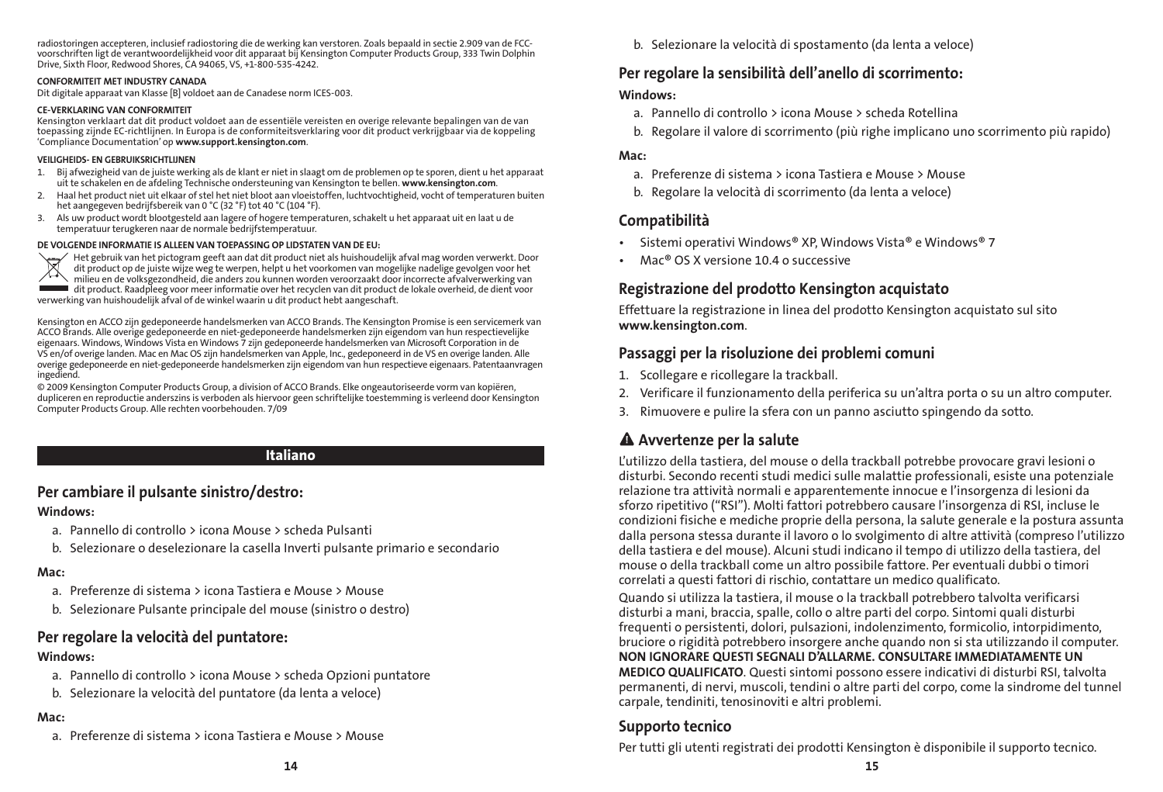radiostoringen accepteren, inclusief radiostoring die de werking kan verstoren. Zoals bepaald in sectie 2.909 van de FCCvoorschriften ligt de verantwoordelijkheid voor dit apparaat bij Kensington Computer Products Group, 333 Twin Dolphin Drive, Sixth Floor, Redwood Shores, CA 94065, VS, +1-800-535-4242.

#### CONFORMITEIT MET INDUSTRY CANADA

Dit digitale apparaat van Klasse [B] voldoet aan de Canadese norm ICES-003.

#### CE-VERKLARING VAN CONFORMITEIT

Kensington verklaart dat dit product voldoet aan de essentiële vereisten en overige relevante bepalingen van de van toepassing zijnde EC-richtlijnen. In Europa is de conformiteitsverklaring voor dit product verkrijgbaar via de koppeling 'Compliance Documentation' op www.support.kensington.com.

#### VEILIGHEIDS- EN GEBRUIKSRICHTLIJNEN

- 1. Bij afwezigheid van de juiste werking als de klant er niet in slaagt om de problemen op te sporen, dient u het apparaat uit te schakelen en de afdeling Technische ondersteuning van Kensington te bellen. www.kensington.com.
- 2. Haal het product niet uit elkaar of stel het niet bloot aan vloeistoffen, luchtvochtigheid, vocht of temperaturen buiten het aangegeven bedrijfsbereik van 0 °C (32 °F) tot 40 °C (104 °F).
- 3. Als uw product wordt blootgesteld aan lagere of hogere temperaturen, schakelt u het apparaat uit en laat u de temperatuur terugkeren naar de normale bedrijfstemperatuur.

#### DE VOLGENDE INFORMATIE IS ALLEEN VAN TOEPASSING OP LIDSTATEN VAN DE EU:



Het gebruik van het pictogram geeft aan dat dit product niet als huishoudelijk afval mag worden verwerkt. Door dit product op de juiste wijze weg te werpen, helpt u het voorkomen van mogelijke nadelige gevolgen voor het milieu en de volksgezondheid, die anders zou kunnen worden veroorzaakt door incorrecte afvalverwerking van dit product. Raadpleeg voor meer informatie over het recyclen van dit product de lokale overheid, de dient voor verwerking van huishoudelijk afval of de winkel waarin u dit product hebt aangeschaft.

Kensington en ACCO zijn gedeponeerde handelsmerken van ACCO Brands. The Kensington Promise is een servicemerk van ACCO Brands. Alle overige gedeponeerde en niet-gedeponeerde handelsmerken zijn eigendom van hun respectievelijke eigenaars. Windows, Windows Vista en Windows 7 zijn gedeponeerde handelsmerken van Microsoft Corporation in de VS en/of overige landen. Mac en Mac OS zijn handelsmerken van Apple, Inc., gedeponeerd in de VS en overige landen. Alle overige gedeponeerde en niet-gedeponeerde handelsmerken zijn eigendom van hun respectieve eigenaars. Patentaanvragen ingediend.

© 2009 Kensington Computer Products Group, a division of ACCO Brands. Elke ongeautoriseerde vorm van kopiëren, dupliceren en reproductie anderszins is verboden als hiervoor geen schriftelijke toestemming is verleend door Kensington Computer Products Group. Alle rechten voorbehouden. 7/09

#### Italiano

### Per cambiare il pulsante sinistro/destro:

#### Windows:

- a. Pannello di controllo > icona Mouse > scheda Pulsanti
- b. Selezionare o deselezionare la casella Inverti pulsante primario e secondario

#### Mac:

- a. Preferenze di sistema > icona Tastiera e Mouse > Mouse
- b. Selezionare Pulsante principale del mouse (sinistro o destro)

### Per regolare la velocità del puntatore:

#### Windows:

- a. Pannello di controllo > icona Mouse > scheda Opzioni puntatore
- b. Selezionare la velocità del puntatore (da lenta a veloce)

#### Mac:

a. Preferenze di sistema > icona Tastiera e Mouse > Mouse

b. Selezionare la velocità di spostamento (da lenta a veloce)

### Per regolare la sensibilità dell'anello di scorrimento:

### Windows:

- a. Pannello di controllo > icona Mouse > scheda Rotellina
- b. Regolare il valore di scorrimento (più righe implicano uno scorrimento più rapido)

#### Mac:

- a. Preferenze di sistema > icona Tastiera e Mouse > Mouse
- b. Regolare la velocità di scorrimento (da lenta a veloce)

### Compatibilità

- Sistemi operativi Windows® XP, Windows Vista® e Windows® 7
- $Mac<sup>®</sup> OS X versione 10.4 o supercive$

### Registrazione del prodotto Kensington acquistato

Effettuare la registrazione in linea del prodotto Kensington acquistato sul sito www.kensington.com.

### Passaggi per la risoluzione dei problemi comuni

- 1. Scollegare e ricollegare la trackball.
- 2. Verificare il funzionamento della periferica su un'altra porta o su un altro computer.
- 3. Rimuovere e pulire la sfera con un panno asciutto spingendo da sotto.

### Avvertenze per la salute

L'utilizzo della tastiera, del mouse o della trackball potrebbe provocare gravi lesioni o disturbi. Secondo recenti studi medici sulle malattie professionali, esiste una potenziale relazione tra attività normali e apparentemente innocue e l'insorgenza di lesioni da sforzo ripetitivo ("RSI"). Molti fattori potrebbero causare l'insorgenza di RSI, incluse le condizioni fisiche e mediche proprie della persona, la salute generale e la postura assunta dalla persona stessa durante il lavoro o lo svolgimento di altre attività (compreso l'utilizzo della tastiera e del mouse). Alcuni studi indicano il tempo di utilizzo della tastiera, del mouse o della trackball come un altro possibile fattore. Per eventuali dubbi o timori correlati a questi fattori di rischio, contattare un medico qualificato.

Quando si utilizza la tastiera, il mouse o la trackball potrebbero talvolta verificarsi disturbi a mani, braccia, spalle, collo o altre parti del corpo. Sintomi quali disturbi frequenti o persistenti, dolori, pulsazioni, indolenzimento, formicolio, intorpidimento, bruciore o rigidità potrebbero insorgere anche quando non si sta utilizzando il computer. NON IGNORARE QUESTI SEGNALI D'ALLARME. CONSULTARE IMMEDIATAMENTE UN MEDICO QUALIFICATO. Questi sintomi possono essere indicativi di disturbi RSI, talvolta permanenti, di nervi, muscoli, tendini o altre parti del corpo, come la sindrome del tunnel carpale, tendiniti, tenosinoviti e altri problemi.

### Supporto tecnico

Per tutti gli utenti registrati dei prodotti Kensington è disponibile il supporto tecnico.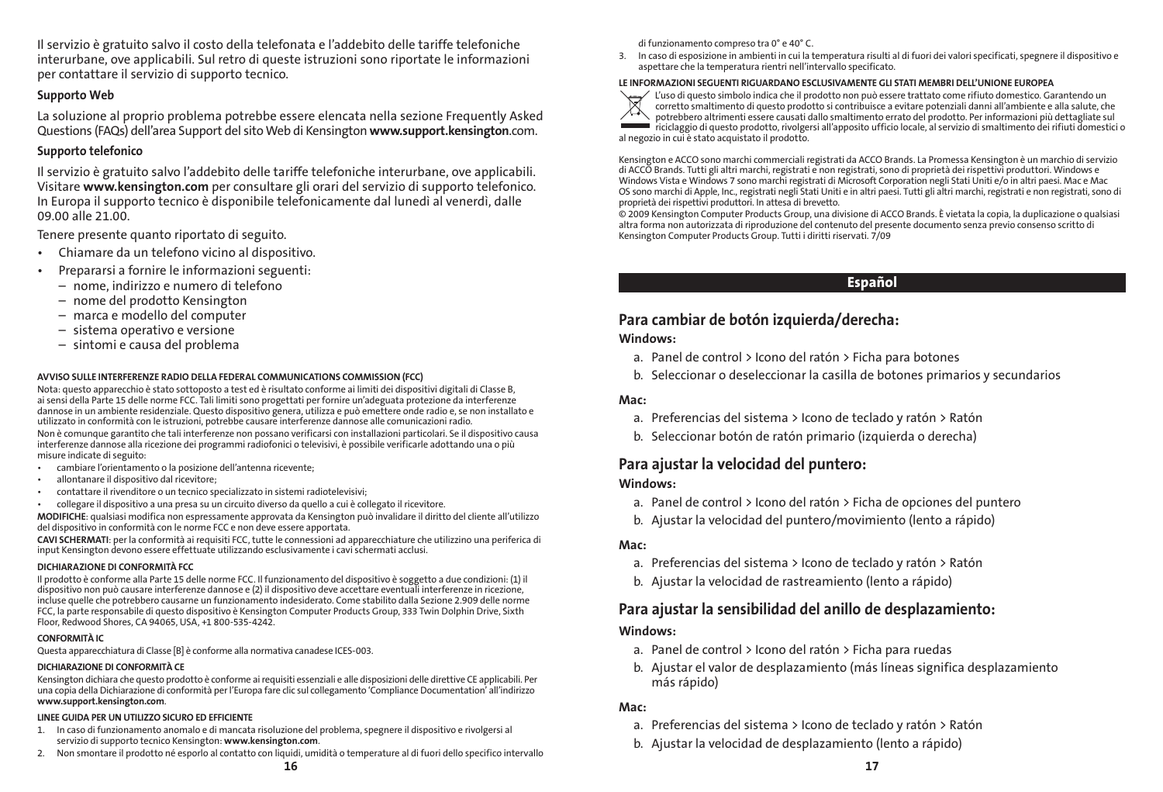Il servizio è gratuito salvo il costo della telefonata e l'addebito delle tariffe telefoniche interurbane, ove applicabili. Sul retro di queste istruzioni sono riportate le informazioni per contattare il servizio di supporto tecnico.

#### Supporto Web

La soluzione al proprio problema potrebbe essere elencata nella sezione Frequently Asked Questions (FAQs) dell'area Support del sito Web di Kensington www.support.kensington.com.

#### Supporto telefonico

Il servizio è gratuito salvo l'addebito delle tariffe telefoniche interurbane, ove applicabili. Visitare www.kensington.com per consultare gli orari del servizio di supporto telefonico. In Europa il supporto tecnico è disponibile telefonicamente dal lunedì al venerdì, dalle 09.00 alle 21.00.

Tenere presente quanto riportato di seguito.

- • Chiamare da un telefono vicino al dispositivo.
- • Prepararsi a fornire le informazioni seguenti:
	- nome, indirizzo e numero di telefono
	- nome del prodotto Kensington
	- marca e modello del computer
	- sistema operativo e versione
	- sintomi e causa del problema

#### AVVISO SULLE INTERFERENZE RADIO DELLA FEDERAL COMMUNICATIONS COMMISSION (FCC)

Nota: questo apparecchio è stato sottoposto a test ed è risultato conforme ai limiti dei dispositivi digitali di Classe B, ai sensi della Parte 15 delle norme FCC. Tali limiti sono progettati per fornire un'adeguata protezione da interferenze dannose in un ambiente residenziale. Questo dispositivo genera, utilizza e può emettere onde radio e, se non installato e utilizzato in conformità con le istruzioni, potrebbe causare interferenze dannose alle comunicazioni radio. Non è comunque garantito che tali interferenze non possano verificarsi con installazioni particolari. Se il dispositivo causa interferenze dannose alla ricezione dei programmi radiofonici o televisivi, è possibile verificarle adottando una o più misure indicate di seguito:

- cambiare l'orientamento o la posizione dell'antenna ricevente;
- allontanare il dispositivo dal ricevitore:
- contattare il rivenditore o un tecnico specializzato in sistemi radiotelevisivi;
- • collegare il dispositivo a una presa su un circuito diverso da quello a cui è collegato il ricevitore.

MODIFICHE: qualsiasi modifica non espressamente approvata da Kensington può invalidare il diritto del cliente all'utilizzo del dispositivo in conformità con le norme FCC e non deve essere apportata.

CAVI SCHERMATI: per la conformità ai requisiti FCC, tutte le connessioni ad apparecchiature che utilizzino una periferica di input Kensington devono essere effettuate utilizzando esclusivamente i cavi schermati acclusi.

#### DICHIARAZIONE DI CONFORMITÀ FCC

Il prodotto è conforme alla Parte 15 delle norme FCC. Il funzionamento del dispositivo è soggetto a due condizioni: (1) il dispositivo non può causare interferenze dannose e (2) il dispositivo deve accettare eventuali interferenze in ricezione, incluse quelle che potrebbero causarne un funzionamento indesiderato. Come stabilito dalla Sezione 2.909 delle norme FCC, la parte responsabile di questo dispositivo è Kensington Computer Products Group, 333 Twin Dolphin Drive, Sixth Floor, Redwood Shores, CA 94065, USA, +1 800-535-4242.

#### CONFORMITÀ IC

Questa apparecchiatura di Classe [B] è conforme alla normativa canadese ICES-003.

#### DICHIARAZIONE DI CONFORMITÀ CE

Kensington dichiara che questo prodotto è conforme ai requisiti essenziali e alle disposizioni delle direttive CE applicabili. Per una copia della Dichiarazione di conformità per l'Europa fare clic sul collegamento 'Compliance Documentation' all'indirizzo www.support.kensington.com.

#### LINEE GUIDA PER UN UTILIZZO SICURO ED EFFICIENTE

- 1. In caso di funzionamento anomalo e di mancata risoluzione del problema, spegnere il dispositivo e rivolgersi al servizio di supporto tecnico Kensington: www.kensington.com.
- $16$ 2. Non smontare il prodotto né esporlo al contatto con liquidi, umidità o temperature al di fuori dello specifico intervallo

3. In caso di esposizione in ambienti in cui la temperatura risulti al di fuori dei valori specificati, spegnere il dispositivo e aspettare che la temperatura rientri nell'intervallo specificato.

#### LE INFORMAZIONI SEGUENTI RIGUARDANO ESCLUSIVAMENTE GLI STATI MEMBRI DELL'UNIONE EUROPEA



L'uso di questo simbolo indica che il prodotto non può essere trattato come rifiuto domestico. Garantendo un corretto smaltimento di questo prodotto si contribuisce a evitare potenziali danni all'ambiente e alla salute, che potrebbero altrimenti essere causati dallo smaltimento errato del prodotto. Per informazioni più dettagliate sul riciclaggio di questo prodotto, rivolgersi all'apposito ufficio locale, al servizio di smaltimento dei rifiuti domestici o al negozio in cui è stato acquistato il prodotto.

Kensington e ACCO sono marchi commerciali registrati da ACCO Brands. La Promessa Kensington è un marchio di servizio di ACCO Brands. Tutti gli altri marchi, registrati e non registrati, sono di proprietà dei rispettivi produttori. Windows e Windows Vista e Windows 7 sono marchi registrati di Microsoft Corporation negli Stati Uniti e/o in altri paesi. Mac e Mac OS sono marchi di Apple, Inc., registrati negli Stati Uniti e in altri paesi. Tutti gli altri marchi, registrati e non registrati, sono di proprietà dei rispettivi produttori. In attesa di brevetto.

© 2009 Kensington Computer Products Group, una divisione di ACCO Brands. È vietata la copia, la duplicazione o qualsiasi altra forma non autorizzata di riproduzione del contenuto del presente documento senza previo consenso scritto di Kensington Computer Products Group. Tutti i diritti riservati. 7/09

### **Español**

### Para cambiar de botón izquierda/derecha:

#### Windows:

- a. Panel de control > Icono del ratón > Ficha para botones
- b. Seleccionar o deseleccionar la casilla de botones primarios y secundarios

#### Mac:

- a. Preferencias del sistema > Icono de teclado y ratón > Ratón
- b. Seleccionar botón de ratón primario (izquierda o derecha)

### Para ajustar la velocidad del puntero:

#### Windows:

- a. Panel de control > Icono del ratón > Ficha de opciones del puntero
- b. Ajustar la velocidad del puntero/movimiento (lento a rápido)

#### Mac:

- a. Preferencias del sistema > Icono de teclado y ratón > Ratón
- b. Ajustar la velocidad de rastreamiento (lento a rápido)

### Para ajustar la sensibilidad del anillo de desplazamiento:

#### Windows:

- a. Panel de control > Icono del ratón > Ficha para ruedas
- b. Ajustar el valor de desplazamiento (más líneas significa desplazamiento más rápido)

#### Mac:

- a. Preferencias del sistema > Icono de teclado y ratón > Ratón
- b. Ajustar la velocidad de desplazamiento (lento a rápido)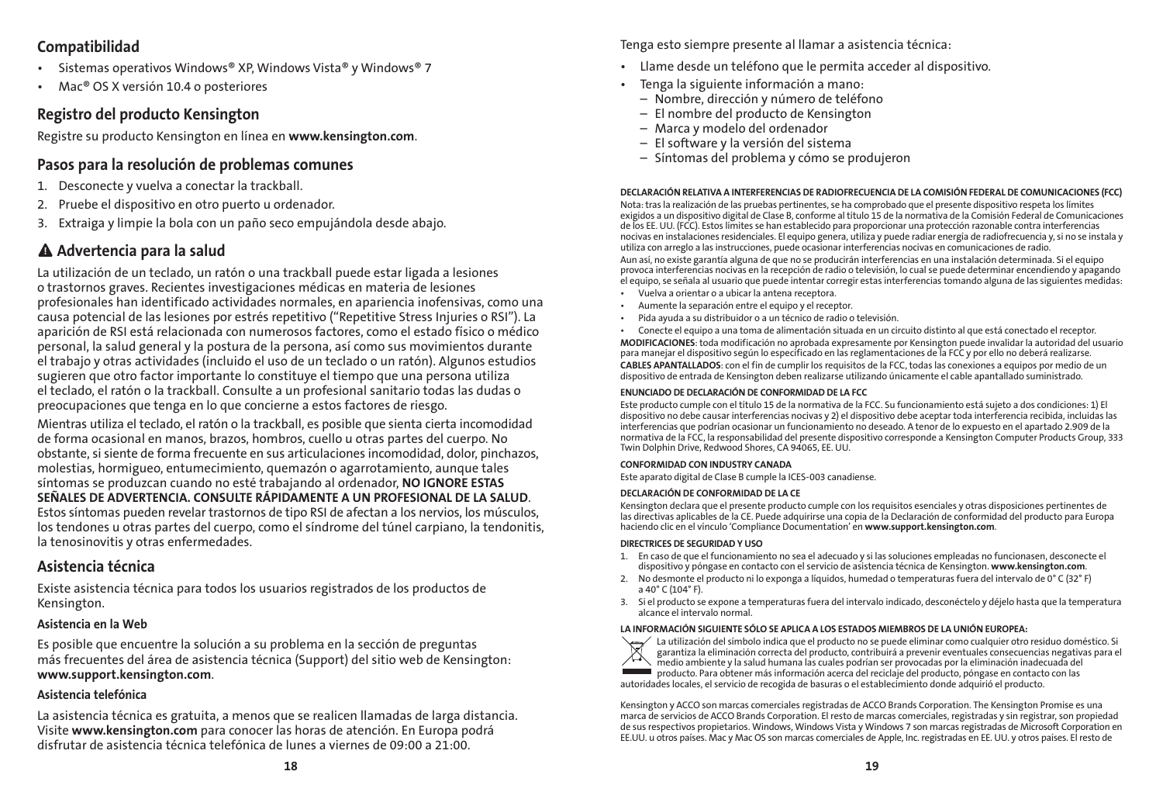### Compatibilidad

- Sistemas operativos Windows® XP, Windows Vista® y Windows® 7
- Mac<sup>®</sup> OS X versión 10.4 o posteriores

### Registro del producto Kensington

Registre su producto Kensington en línea en www.kensington.com.

### Pasos para la resolución de problemas comunes

- 1. Desconecte y vuelva a conectar la trackball.
- 2. Pruebe el dispositivo en otro puerto u ordenador.
- 3. Extraiga y limpie la bola con un paño seco empujándola desde abajo.

## Advertencia para la salud

La utilización de un teclado, un ratón o una trackball puede estar ligada a lesiones o trastornos graves. Recientes investigaciones médicas en materia de lesiones profesionales han identificado actividades normales, en apariencia inofensivas, como una causa potencial de las lesiones por estrés repetitivo ("Repetitive Stress Injuries o RSI"). La aparición de RSI está relacionada con numerosos factores, como el estado físico o médico personal, la salud general y la postura de la persona, así como sus movimientos durante el trabajo y otras actividades (incluido el uso de un teclado o un ratón). Algunos estudios sugieren que otro factor importante lo constituye el tiempo que una persona utiliza el teclado, el ratón o la trackball. Consulte a un profesional sanitario todas las dudas o preocupaciones que tenga en lo que concierne a estos factores de riesgo.

Mientras utiliza el teclado, el ratón o la trackball, es posible que sienta cierta incomodidad de forma ocasional en manos, brazos, hombros, cuello u otras partes del cuerpo. No obstante, si siente de forma frecuente en sus articulaciones incomodidad, dolor, pinchazos, molestias, hormigueo, entumecimiento, quemazón o agarrotamiento, aunque tales síntomas se produzcan cuando no esté trabajando al ordenador, NO IGNORE ESTAS SEÑALES DE ADVERTENCIA. CONSULTE RÁPIDAMENTE A UN PROFESIONAL DE LA SALUD. Estos síntomas pueden revelar trastornos de tipo RSI de afectan a los nervios, los músculos, los tendones u otras partes del cuerpo, como el síndrome del túnel carpiano, la tendonitis, la tenosinovitis y otras enfermedades.

### Asistencia técnica

Existe asistencia técnica para todos los usuarios registrados de los productos de Kensington.

### Asistencia en la Web

Es posible que encuentre la solución a su problema en la sección de preguntas más frecuentes del área de asistencia técnica (Support) del sitio web de Kensington: www.support.kensington.com.

### Asistencia telefónica

La asistencia técnica es gratuita, a menos que se realicen llamadas de larga distancia. Visite www.kensington.com para conocer las horas de atención. En Europa podrá disfrutar de asistencia técnica telefónica de lunes a viernes de 09:00 a 21:00.

Tenga esto siempre presente al llamar a asistencia técnica:

- • Llame desde un teléfono que le permita acceder al dispositivo.
- • Tenga la siguiente información a mano:
	- Nombre, dirección y número de teléfono
	- El nombre del producto de Kensington
	- Marca y modelo del ordenador
	- El software y la versión del sistema
	- Síntomas del problema y cómo se produjeron

#### DECLARACIÓN RELATIVA A INTERFERENCIAS DE RADIOFRECUENCIA DE LA COMISIÓN FEDERAL DE COMUNICACIONES (FCC)

Nota: tras la realización de las pruebas pertinentes, se ha comprobado que el presente dispositivo respeta los límites exigidos a un dispositivo digital de Clase B, conforme al título 15 de la normativa de la Comisión Federal de Comunicaciones de los EE. UU. (FCC). Estos límites se han establecido para proporcionar una protección razonable contra interferencias nocivas en instalaciones residenciales. El equipo genera, utiliza y puede radiar energía de radiofrecuencia y, si no se instala y utiliza con arreglo a las instrucciones, puede ocasionar interferencias nocivas en comunicaciones de radio.

Aun así, no existe garantía alguna de que no se producirán interferencias en una instalación determinada. Si el equipo provoca interferencias nocivas en la recepción de radio o televisión, lo cual se puede determinar encendiendo y apagando el equipo, se señala al usuario que puede intentar corregir estas interferencias tomando alguna de las siguientes medidas:

- Vuelva a orientar o a ubicar la antena receptora.
- Aumente la separación entre el equipo y el receptor.
- Pida ayuda a su distribuidor o a un técnico de radio o televisión.
- Conecte el equipo a una toma de alimentación situada en un circuito distinto al que está conectado el receptor.

MODIFICACIONES: toda modificación no aprobada expresamente por Kensington puede invalidar la autoridad del usuario para manejar el dispositivo según lo especificado en las reglamentaciones de la FCC y por ello no deberá realizarse. CABLES APANTALLADOS: con el fin de cumplir los requisitos de la FCC, todas las conexiones a equipos por medio de un dispositivo de entrada de Kensington deben realizarse utilizando únicamente el cable apantallado suministrado.

#### ENUNCIADO DE DECLARACIÓN DE CONFORMIDAD DE LA FCC

Este producto cumple con el título 15 de la normativa de la FCC. Su funcionamiento está sujeto a dos condiciones: 1) El dispositivo no debe causar interferencias nocivas y 2) el dispositivo debe aceptar toda interferencia recibida, incluidas las interferencias que podrían ocasionar un funcionamiento no deseado. A tenor de lo expuesto en el apartado 2.909 de la normativa de la FCC, la responsabilidad del presente dispositivo corresponde a Kensington Computer Products Group, 333 Twin Dolphin Drive, Redwood Shores, CA 94065, EE. UU.

#### CONFORMIDAD CON INDUSTRY CANADA

Este aparato digital de Clase B cumple la ICES-003 canadiense.

#### DECLARACIÓN DE CONFORMIDAD DE LA CE

Kensington declara que el presente producto cumple con los requisitos esenciales y otras disposiciones pertinentes de las directivas aplicables de la CE. Puede adquirirse una copia de la Declaración de conformidad del producto para Europa haciendo clic en el vínculo 'Compliance Documentation' en www.support.kensington.com.

#### DIRECTRICES DE SEGURIDAD Y USO

- 1. En caso de que el funcionamiento no sea el adecuado y si las soluciones empleadas no funcionasen, desconecte el dispositivo y póngase en contacto con el servicio de asistencia técnica de Kensington. www.kensington.com.
- 2. No desmonte el producto ni lo exponga a líquidos, humedad o temperaturas fuera del intervalo de 0° C (32° F) a 40° C (104° F).
- 3. Si el producto se expone a temperaturas fuera del intervalo indicado, desconéctelo y déjelo hasta que la temperatura alcance el intervalo normal.



LA INFORMACIÓN SIGUIENTE SÓLO SE APLICA A LOS ESTADOS MIEMBROS DE LA UNIÓN EUROPEA: La utilización del símbolo indica que el producto no se puede eliminar como cualquier otro residuo doméstico. Si garantiza la eliminación correcta del producto, contribuirá a prevenir eventuales consecuencias negativas para el medio ambiente y la salud humana las cuales podrían ser provocadas por la eliminación inadecuada del producto. Para obtener más información acerca del reciclaje del producto, póngase en contacto con las autoridades locales, el servicio de recogida de basuras o el establecimiento donde adquirió el producto.

Kensington y ACCO son marcas comerciales registradas de ACCO Brands Corporation. The Kensington Promise es una marca de servicios de ACCO Brands Corporation. El resto de marcas comerciales, registradas y sin registrar, son propiedad de sus respectivos propietarios. Windows, Windows Vista y Windows 7 son marcas registradas de Microsoft Corporation en EE.UU. u otros países. Mac y Mac OS son marcas comerciales de Apple, Inc. registradas en EE. UU. y otros países. El resto de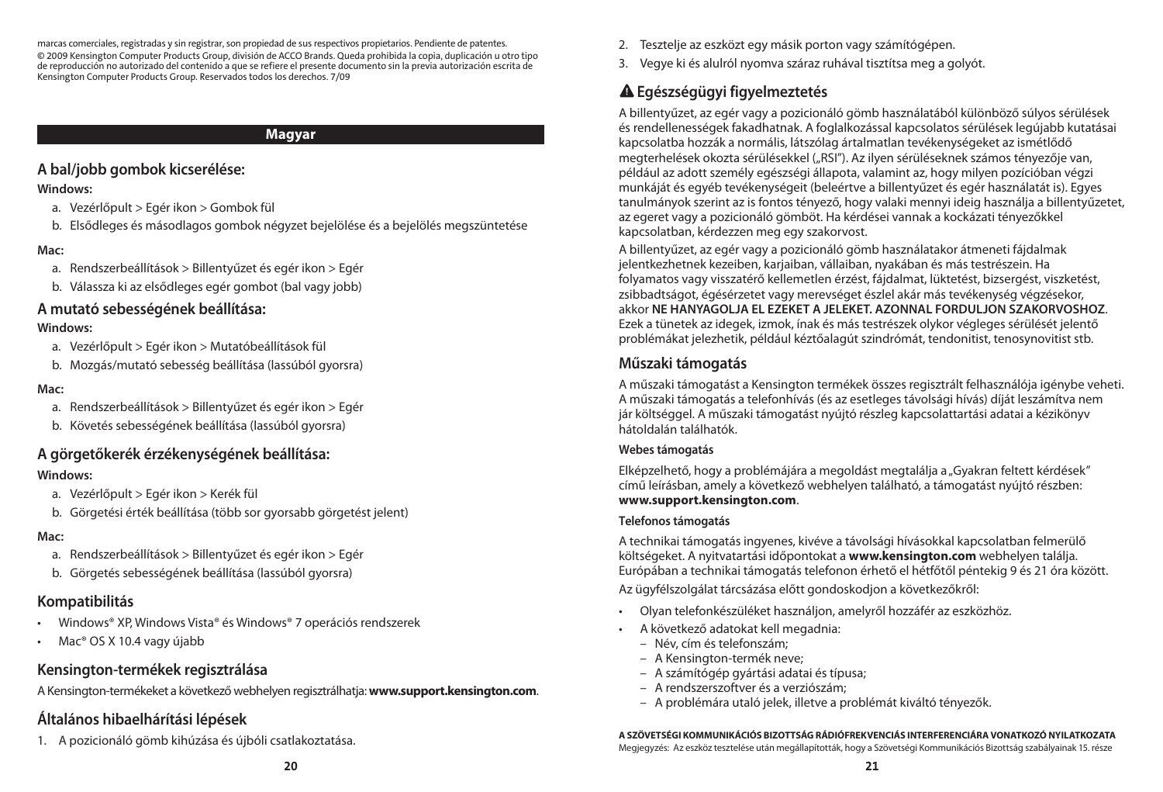marcas comerciales, registradas y sin registrar, son propiedad de sus respectivos propietarios. Pendiente de patentes. © 2009 Kensington Computer Products Group, división de ACCO Brands. Queda prohibida la copia, duplicación u otro tipo de reproducción no autorizado del contenido a que se refiere el presente documento sin la previa autorización escrita de Kensington Computer Products Group. Reservados todos los derechos. 7/09

### **Magyar**

### **A bal/jobb gombok kicserélése:**

### **Windows:**

- a. Vezérlőpult > Egér ikon > Gombok fül
- b. Elsődleges és másodlagos gombok négyzet bejelölése és a bejelölés megszüntetése

### **Mac:**

- a. Rendszerbeállítások > Billentyűzet és egér ikon > Egér
- b. Válassza ki az elsődleges egér gombot (bal vagy jobb)

### **A mutató sebességének beállítása:**

### **Windows:**

- a. Vezérlőpult > Egér ikon > Mutatóbeállítások fül
- b. Mozgás/mutató sebesség beállítása (lassúból gyorsra)

### **Mac:**

- a. Rendszerbeállítások > Billentyűzet és egér ikon > Egér
- b. Követés sebességének beállítása (lassúból gyorsra)

### **A görgetőkerék érzékenységének beállítása:**

### **Windows:**

- a. Vezérlőpult > Egér ikon > Kerék fül
- b. Görgetési érték beállítása (több sor gyorsabb görgetést jelent)

### **Mac:**

- a. Rendszerbeállítások > Billentyűzet és egér ikon > Egér
- b. Görgetés sebességének beállítása (lassúból gyorsra)

### **Kompatibilitás**

- Windows® XP, Windows Vista® és Windows® 7 operációs rendszerek
- Mac<sup>®</sup> OS X 10.4 vagy újabb

### **Kensington-termékek regisztrálása**

A Kensington-termékeket a következő webhelyen regisztrálhatja: **www.support.kensington.com**.

### **Általános hibaelhárítási lépések**

1. A pozicionáló gömb kihúzása és újbóli csatlakoztatása.

- 2. Tesztelje az eszközt egy másik porton vagy számítógépen.
- 3. Vegye ki és alulról nyomva száraz ruhával tisztítsa meg a golyót.

## **Egészségügyi figyelmeztetés**

A billentyűzet, az egér vagy a pozicionáló gömb használatából különböző súlyos sérülések és rendellenességek fakadhatnak. A foglalkozással kapcsolatos sérülések legújabb kutatásai kapcsolatba hozzák a normális, látszólag ártalmatlan tevékenységeket az ismétlődő megterhelések okozta sérülésekkel ("RSI"). Az ilyen sérüléseknek számos tényezője van, például az adott személy egészségi állapota, valamint az, hogy milyen pozícióban végzi munkáját és egyéb tevékenységeit (beleértve a billentyűzet és egér használatát is). Egyes tanulmányok szerint az is fontos tényező, hogy valaki mennyi ideig használja a billentyűzetet, az egeret vagy a pozicionáló gömböt. Ha kérdései vannak a kockázati tényezőkkel kapcsolatban, kérdezzen meg egy szakorvost.

A billentyűzet, az egér vagy a pozicionáló gömb használatakor átmeneti fájdalmak jelentkezhetnek kezeiben, karjaiban, vállaiban, nyakában és más testrészein. Ha folyamatos vagy visszatérő kellemetlen érzést, fájdalmat, lüktetést, bizsergést, viszketést, zsibbadtságot, égésérzetet vagy merevséget észlel akár más tevékenység végzésekor, akkor **NE HANYAGOLJA EL EZEKET A JELEKET. AZONNAL FORDULJON SZAKORVOSHOZ**. Ezek a tünetek az idegek, izmok, ínak és más testrészek olykor végleges sérülését jelentő problémákat jelezhetik, például kéztőalagút szindrómát, tendonitist, tenosynovitist stb.

### **Műszaki támogatás**

A műszaki támogatást a Kensington termékek összes regisztrált felhasználója igénybe veheti. A műszaki támogatás a telefonhívás (és az esetleges távolsági hívás) díját leszámítva nem jár költséggel. A műszaki támogatást nyújtó részleg kapcsolattartási adatai a kézikönyv hátoldalán találhatók.

### **Webes támogatás**

Elképzelhető, hogy a problémájára a megoldást megtalálja a "Gyakran feltett kérdések" című leírásban, amely a következő webhelyen található, a támogatást nyújtó részben: **www.support.kensington.com**.

### **Telefonos támogatás**

A technikai támogatás ingyenes, kivéve a távolsági hívásokkal kapcsolatban felmerülő költségeket. A nyitvatartási időpontokat a **www.kensington.com** webhelyen találja. Európában a technikai támogatás telefonon érhető el hétfőtől péntekig 9 és 21 óra között.

Az ügyfélszolgálat tárcsázása előtt gondoskodjon a következőkről:

- Olyan telefonkészüléket használjon, amelyről hozzáfér az eszközhöz.
- • A következő adatokat kell megadnia:
	- – Név, cím és telefonszám;
	- – A Kensington-termék neve;
	- – A számítógép gyártási adatai és típusa;
	- – A rendszerszoftver és a verziószám;
	- – A problémára utaló jelek, illetve a problémát kiváltó tényezők.

#### **A SZÖVETSÉGI KOMMUNIKÁCIÓS BIZOTTSÁG RÁDIÓFREKVENCIÁS INTERFERENCIÁRA VONATKOZÓ NYILATKOZATA**

Megjegyzés: Az eszköz tesztelése után megállapították, hogy a Szövetségi Kommunikációs Bizottság szabályainak 15. része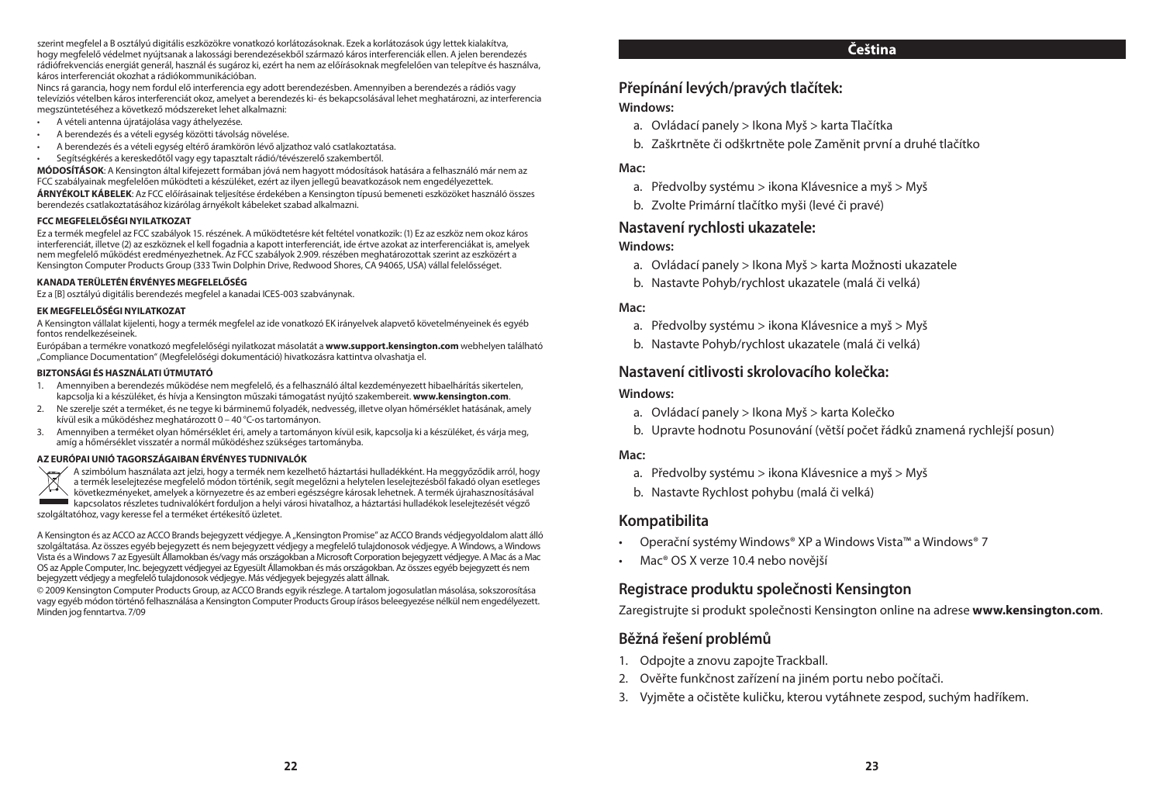szerint megfelel a B osztályú digitális eszközökre vonatkozó korlátozásoknak. Ezek a korlátozások úgy lettek kialakítva, hogy megfelelő védelmet nyújtsanak a lakossági berendezésekből származó káros interferenciák ellen. A jelen berendezés rádiófrekvenciás energiát generál, használ éssugároz ki, ezért ha nem az előírásoknak megfelelően van telepítve és használva, káros interferenciát okozhat a rádiókommunikációban.

Nincsrá garancia, hogy nem fordul elő interferencia egy adott berendezésben. Amennyiben a berendezés a rádiós vagy televíziós vételben károsinterferenciát okoz, amelyet a berendezés ki- és bekapcsolásával lehet meghatározni, az interferencia megszüntetéséhez a következő módszereket lehet alkalmazni:

- • A vételi antenna újratájolása vagy áthelyezése.
- A berendezés és a vételi egység közötti távolság növelése.
- A berendezés és a vételi egység eltérő áramkörön lévő aljzathoz való csatlakoztatása.
- Segítségkérés a kereskedőtől vagy egy tapasztalt rádió/tévészerelő szakembertől.

**MÓDOSÍTÁSOK**: A Kensington által kifejezett formában jóvá nem hagyott módosítások hatására a felhasználó már nem az FCC szabályainak megfelelően működteti a készüléket, ezért az ilyen jellegű beavatkozások nem engedélyezettek.

**ÁRNYÉKOLT KÁBELEK**: Az FCC előírásainak teljesítése érdekében a Kensington típusú bemeneti eszközöket használó összes berendezés csatlakoztatásához kizárólag árnyékolt kábeleket szabad alkalmazni.

#### **FCC MEGFELELŐSÉGI NYILATKOZAT**

Ez a termék megfelel az FCC szabályok 15. részének. A működtetésre két feltétel vonatkozik: (1) Ez az eszköz nem okoz káros interferenciát, illetve (2) az eszköznek el kell fogadnia a kapott interferenciát, ide értve azokat az interferenciákat is, amelyek nem megfelelő működést eredményezhetnek. Az FCC szabályok 2.909. részében meghatározottak szerint az eszközért a Kensington Computer Products Group (333 Twin Dolphin Drive, Redwood Shores, CA 94065, USA) vállal felelősséget.

#### **KANADA TERÜLETÉN ÉRVÉNYES MEGFELELŐSÉG**

Ez a [B] osztályú digitális berendezés megfelel a kanadai ICES-003 szabványnak.

#### **EK MEGFELELŐSÉGI NYILATKOZAT**

A Kensington vállalat kijelenti, hogy a termék megfelel az ide vonatkozó EK irányelvek alapvető követelményeinek és egyéb fontos rendelkezéseinek.

Európában a termékre vonatkozó megfelelőségi nyilatkozat másolatát a **www.support.kensington.com** webhelyen található "Compliance Documentation" (Megfelelőségi dokumentáció) hivatkozásra kattintva olvashatja el.

#### **BIZTONSÁGI ÉS HASZNÁLATI ÚTMUTATÓ**

- 1. Amennyiben a berendezés működése nem megfelelő, és a felhasználó által kezdeményezett hibaelhárítás sikertelen, kapcsolja ki a készüléket, és hívja a Kensington műszaki támogatást nyújtó szakembereit. **www.kensington.com**.
- 2. Ne szerelje szét a terméket, és ne tegye ki bárminemű folyadék, nedvesség, illetve olyan hőmérséklet hatásának, amely kívül esik a működéshez meghatározott 0 – 40 °C-ostartományon.
- 3. Amennyiben a terméket olyan hőmérséklet éri, amely a tartományon kívül esik, kapcsolja ki a készüléket, és várja meg, amíg a hőmérséklet visszatér a normál működéshez szükséges tartományba.

AZ EURÓPAI UNIÓ TAGORSZÁGAIBAN ÉRVÉNYES TUDNIVALÓK<br>Azzimbólum használata azt jelzi, hogy a termék nem kezelhető háztartási hulladékként. Ha meggyőződik arról, hogy<br>a termék leselejtezése megfelelő módon történik, segít me következményeket, amelyek a környezetre és az emberi egészségre károsak lehetnek. A termék újrahasznosításával kapcsolatosrészletestudnivalókért forduljon a helyi városi hivatalhoz, a háztartási hulladékok leselejtezését végző szolgáltatóhoz, vagy keresse fel a terméket értékesítő üzletet.

A Kensington és az ACCO az ACCO Brands bejegyzett védjegye. A "Kensington Promise" az ACCO Brands védjegyoldalom alatt álló szolgáltatása. Az összes egyéb bejegyzett és nem bejegyzett védjegy a megfelelő tulajdonosok védjegye. A Windows, a Windows Vista és a Windows 7 az Egyesült Államokban és/vagy más országokban a Microsoft Corporation bejegyzett védjegye. A Mac ás a Mac OS az Apple Computer, Inc. bejegyzett védjegyei az Egyesült Államokban és más országokban. Az összes egyéb bejegyzett és nem bejegyzett védjegy a megfelelő tulajdonosok védjegye. Más védjegyek bejegyzés alatt állnak.

©2009 Kensington Computer Products Group, az ACCOBrands egyik részlege. A tartalom jogosulatlan másolása,sokszorosítása vagy egyéb módon történő felhasználása a Kensington Computer Products Group írásos beleegyezése nélkül nem engedélyezett. Minden jog fenntartva. 7/09

#### **Čeština**

### **Přepínání levých/pravých tlačítek:**

#### **Windows:**

- a. Ovládací panely > Ikona Myš > karta Tlačítka
- b. Zaškrtněte či odškrtněte pole Zaměnit první a druhé tlačítko

#### **Mac:**

- a. Předvolby systému > ikona Klávesnice a myš > Myš
- b. Zvolte Primární tlačítko myši (levé či pravé)

#### **Nastavení rychlosti ukazatele:**

#### **Windows:**

- a. Ovládací panely > Ikona Myš > karta Možnosti ukazatele
- b. Nastavte Pohyb/rychlost ukazatele (malá či velká)

#### **Mac:**

- a. Předvolby systému > ikona Klávesnice a myš > Myš
- b. Nastavte Pohyb/rychlost ukazatele (malá či velká)

#### **Nastavení citlivosti skrolovacího kolečka:**

#### **Windows:**

- a. Ovládací panely > Ikona Myš > karta Kolečko
- b. Upravte hodnotu Posunování (větší počet řádků znamená rychlejší posun)

#### **Mac:**

- a. Předvolby systému > ikona Klávesnice a myš > Myš
- b. Nastavte Rychlost pohybu (malá či velká)

#### **Kompatibilita**

- • Operační systémy Windows® XP a Windows Vista™ a Windows® 7
- Mac<sup>®</sup> OS X verze 10.4 nebo novější

### **Registrace produktu společnosti Kensington**

Zaregistrujte si produkt společnosti Kensington online na adrese **www.kensington.com**.

#### **Běžná řešení problémů**

- 1. Odpoite a znovu zapoite Trackball.
- 2. Ověřte funkčnost zařízení na jiném portu nebo počítači.
- 3. Vyjměte a očistěte kuličku, kterou vytáhnete zespod, suchým hadříkem.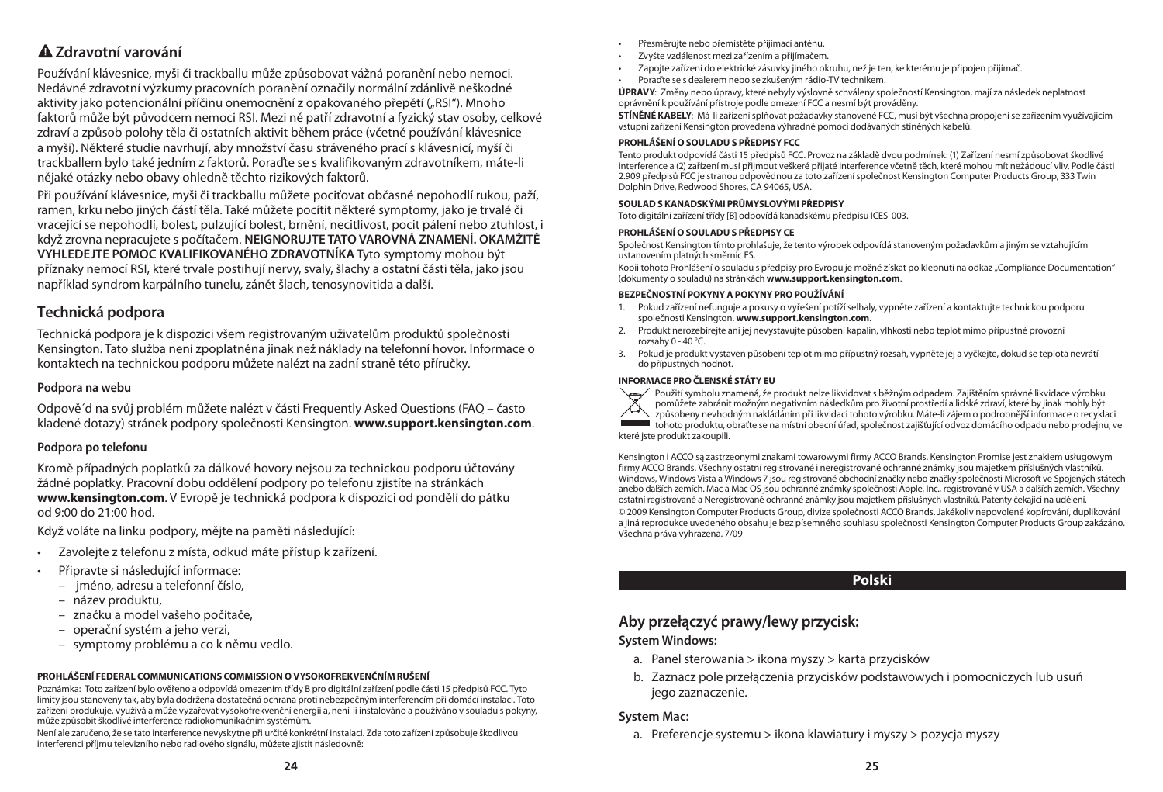### **Zdravotní varování**

Používání klávesnice, myši či trackballu může způsobovat vážná poranění nebo nemoci. Nedávné zdravotní výzkumy pracovních poranění označily normální zdánlivě neškodné aktivity jako potencionální příčinu onemocnění z opakovaného přepětí ("RSI"). Mnoho faktorů může být původcem nemoci RSI. Mezi ně patří zdravotní a fyzický stav osoby, celkové zdraví a způsob polohy těla či ostatních aktivit během práce (včetně používání klávesnice a myši). Některé studie navrhují, aby množství času stráveného prací s klávesnicí, myší či trackballem bylo také jedním z faktorů. Poraďte se s kvalifikovaným zdravotníkem, máte-li nějaké otázky nebo obavy ohledně těchto rizikových faktorů.

Při používání klávesnice, myši či trackballu můžete pociťovat občasné nepohodlí rukou, paží, ramen, krku nebo jiných částí těla. Také můžete pocítit některé symptomy, jako je trvalé či vracející se nepohodlí, bolest, pulzující bolest, brnění, necitlivost, pocit pálení nebo ztuhlost, i když zrovna nepracujete s počítačem. **NEIGNORUJTE TATO VAROVNÁ ZNAMENÍ. OKAMŽITĚ VYHLEDEJTE POMOC KVALIFIKOVANÉHO ZDRAVOTNÍKA** Tyto symptomy mohou být příznaky nemocí RSI, které trvale postihují nervy, svaly, šlachy a ostatní části těla, jako jsou například syndrom karpálního tunelu, zánět šlach, tenosynovitida a další.

### **Technická podpora**

Technická podpora je k dispozici všem registrovaným uživatelům produktů společnosti Kensington. Tato služba není zpoplatněna jinak než náklady na telefonní hovor. Informace o kontaktech na technickou podporu můžete nalézt na zadní straně této příručky.

#### **Podpora na webu**

Odpově´d na svůj problém můžete nalézt v části Frequently Asked Questions (FAQ – často kladené dotazy) stránek podpory společnosti Kensington. **www.support.kensington.com**.

#### **Podpora po telefonu**

Kromě případných poplatků za dálkové hovory nejsou za technickou podporu účtovány žádné poplatky. Pracovní dobu oddělení podpory po telefonu zjistíte na stránkách **www.kensington.com**. V Evropě je technická podpora k dispozici od pondělí do pátku od 9:00 do 21:00 hod.

Když voláte na linku podpory, mějte na paměti následující:

- Zavolejte z telefonu z místa, odkud máte přístup k zařízení.
- Připravte si následující informace:
	- – jméno, adresu a telefonní číslo,
	- – název produktu,
	- – značku a model vašeho počítače,
	- – operační systém a jeho verzi,
	- – symptomy problému a co k němu vedlo.

### **PROHLÁŠENÍ FEDERAL COMMUNICATIONS COMMISSION O VYSOKOFREKVENČNÍM RUŠENÍ**

Poznámka: Toto zařízení bylo ověřeno a odpovídá omezením třídy B pro digitální zařízení podle části 15 předpisů FCC. Tyto limity jsou stanoveny tak, aby byla dodržena dostatečná ochrana proti nebezpečným interferencím při domácí instalaci. Toto zařízení produkuje, využívá a může vyzařovat vysokofrekvenční energii a, není-li instalováno a používáno v souladu s pokyny, může způsobitškodlivé interference radiokomunikačním systémům.

Není ale zaručeno, že se tato interference nevyskytne při určité konkrétní instalaci. Zda toto zařízení způsobuje škodlivou interferenci příjmu televizního nebo radiového signálu, můžete zjistit následovně:

- Přesměrujte nebo přemístěte přijímací anténu.
- Zvyšte vzdálenost mezi zařízením a přijímačem.
- Zapojte zařízení do elektrické zásuvky jiného okruhu, než je ten, ke kterému je připojen přijímač.
- Poraďte se s dealerem nebo se zkušeným rádio-TV technikem.

**ÚPRAVY**: Změny nebo úpravy, které nebyly výslovně schváleny společností Kensington, mají za následek neplatnost oprávnění k používání přístroje podle omezení FCC a nesmí být prováděny.

**STÍNĚNÉ KABELY**: Má-li zařízenísplňovat požadavky stanovené FCC, musí být všechna propojeníse zařízením využívajícím vstupní zařízení Kensington provedena výhradně pomocí dodávaných stíněných kabelů.

#### **PROHLÁŠENÍ O SOULADU S PŘEDPISY FCC**

Tento produkt odpovídá části 15 předpisů FCC. Provoz na základě dvou podmínek: (1) Zařízení nesmí způsobovatškodlivé interference a (2) zařízení musí přijmout veškeré přijaté interference včetně těch, které mohou mít nežádoucí vliv. Podle části 2.909 předpisů FCC je stranou odpovědnou za toto zařízeníspolečnost Kensington Computer Products Group, 333 Twin Dolphin Drive, Redwood Shores, CA 94065, USA.

#### **SOULAD S KANADSKÝMI PRŮMYSLOVÝMI PŘEDPISY**

Toto digitální zařízení třídy [B] odpovídá kanadskému předpisu ICES-003.

#### **PROHLÁŠENÍ O SOULADU S PŘEDPISY CE**

Společnost Kensington tímto prohlašuje, že tento výrobek odpovídá stanoveným požadavkům a jiným se vztahujícím ustanovením platných směrnic ES.

Kopii tohoto Prohlášení o souladu s předpisy pro Evropu je možné získat po klepnutí na odkaz "Compliance Documentation" (dokumenty o souladu) na stránkách **www.support.kensington.com**.

#### **BEZPEČNOSTNÍ POKYNY A POKYNY PRO POUŽÍVÁNÍ**

- 1. Pokud zařízení nefunguje a pokusy o vyřešení potížíselhaly, vypněte zařízení a kontaktujte technickou podporu společnosti Kensington. **www.support.kensington.com**.
- 2. Produkt nerozebírejte ani jej nevystavujte působení kapalin, vlhkosti nebo teplot mimo přípustné provozní rozsahy 0 - 40 °C.
- 3. Pokud je produkt vystaven působení teplot mimo přípustný rozsah, vypněte jej a vyčkejte, dokud se teplota nevrátí do přípustných hodnot.

#### **INFORMACE PRO ČLENSKÉ STÁTY EU**



Použitísymbolu znamená, že produkt nelze likvidovats běžným odpadem. Zajištěním správné likvidace výrobku

pomůžete zabránit možným negativním následkům pro životní prostředí a lidské zdraví, které by jinak mohly být

způsobeny nevhodným nakládáním při likvidaci tohoto výrobku. Máte-li zájem o podrobnější informace o recyklaci tohoto produktu, obraťte se na místní obecní úřad,společnost zajišťující odvoz domácího odpadu nebo prodejnu, ve které jste produkt zakoupili.

Kensington i ACCO są zastrzeonymi znakami towarowymi firmy ACCO Brands. Kensington Promise jest znakiem usługowym firmy ACCO Brands. Všechny ostatní registrované i neregistrované ochranné známky jsou majetkem příslušných vlastníků. Windows, Windows Vista a Windows 7 jsou registrované obchodní značky nebo značky společnosti Microsoft ve Spojených státech anebo dalších zemích. Mac a Mac OS jsou ochranné známky společnosti Apple, Inc., registrované v USA a dalších zemích. Všechny ostatní registrované a Neregistrované ochranné známky jsou majetkem příslušných vlastníků. Patenty čekající na udělení. © 2009 Kensington Computer Products Group, divize společnosti ACCO Brands.Jakékoliv nepovolené kopírování, duplikování a jiná reprodukce uvedeného obsahu je bez písemného souhlasu společnosti Kensington Computer Products Group zakázáno. Všechna práva vyhrazena. 7/09

### **Polski**

### **Aby przełączyć prawy/lewy przycisk:**

#### **System Windows:**

- a. Panel sterowania > ikona myszy > karta przycisków
- b. Zaznacz pole przełączenia przycisków podstawowych i pomocniczych lub usuń jego zaznaczenie.

#### **System Mac:**

a. Preferencje systemu > ikona klawiatury i myszy > pozycja myszy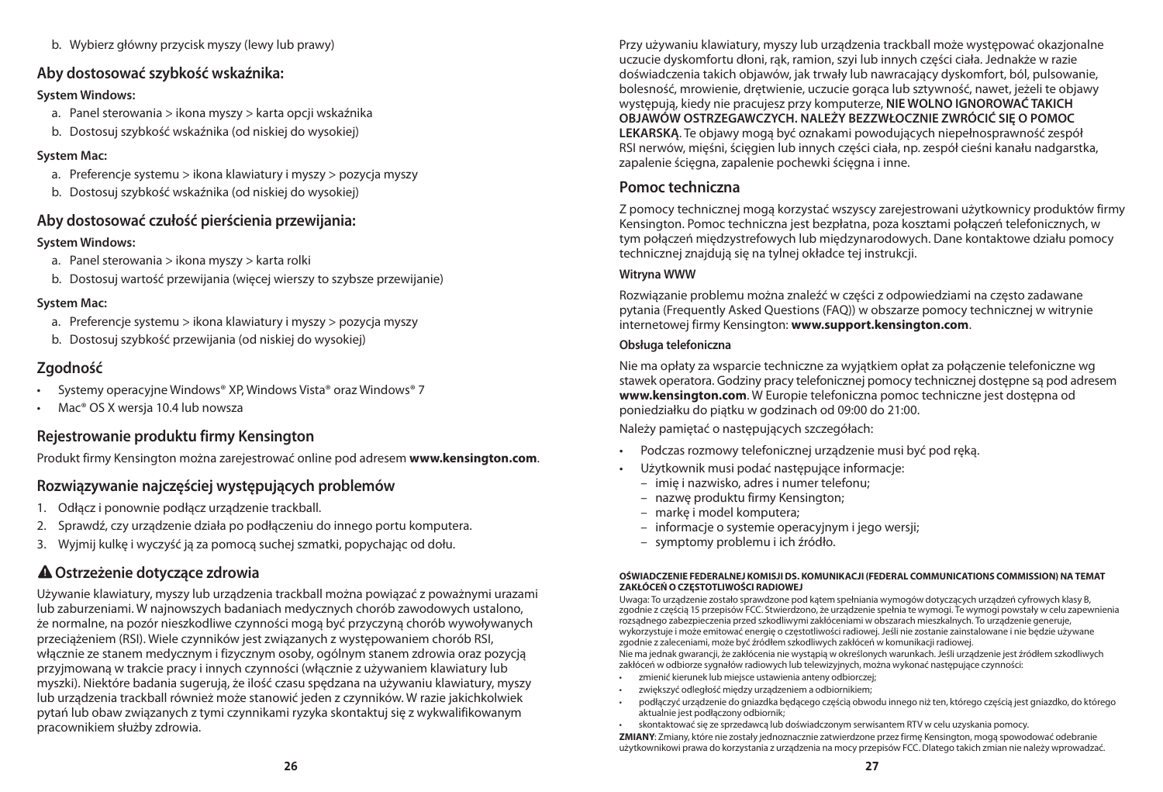b. Wybierz główny przycisk myszy (lewy lub prawy)

### **Aby dostosować szybkość wskaźnika:**

### **System Windows:**

- a. Panel sterowania > ikona myszy > karta opcji wskaźnika
- b. Dostosuj szybkość wskaźnika (od niskiej do wysokiej)

### **System Mac:**

- a. Preferencje systemu > ikona klawiatury i myszy > pozycja myszy
- b. Dostosuj szybkość wskaźnika (od niskiej do wysokiej)

### **Aby dostosować czułość pierścienia przewijania:**

### **System Windows:**

- a. Panel sterowania > ikona myszy > karta rolki
- b. Dostosuj wartość przewijania (więcej wierszy to szybsze przewijanie)

### **System Mac:**

- a. Preferencje systemu > ikona klawiatury i myszy > pozycja myszy
- b. Dostosuj szybkość przewijania (od niskiej do wysokiej)

### **Zgodność**

- Systemy operacyjne Windows® XP, Windows Vista® oraz Windows® 7
- Mac<sup>®</sup> OS X wersia 10.4 lub nowsza

### **Rejestrowanie produktu firmy Kensington**

Produkt firmy Kensington można zarejestrować online pod adresem **www.kensington.com**.

### **Rozwiązywanie najczęściej występujących problemów**

- 1. Odłącz i ponownie podłącz urządzenie trackball.
- 2. Sprawdź, czy urządzenie działa po podłączeniu do innego portu komputera.
- 3. Wyjmij kulkę i wyczyść ją za pomocą suchej szmatki, popychając od dołu.

## **Ostrzeżenie dotyczące zdrowia**

Używanie klawiatury, myszy lub urządzenia trackball można powiązać z poważnymi urazami lub zaburzeniami. W najnowszych badaniach medycznych chorób zawodowych ustalono, że normalne, na pozór nieszkodliwe czynności mogą być przyczyną chorób wywoływanych przeciążeniem (RSI). Wiele czynników jest związanych z występowaniem chorób RSI, włącznie ze stanem medycznym i fizycznym osoby, ogólnym stanem zdrowia oraz pozycją przyjmowaną w trakcie pracy i innych czynności (włącznie z używaniem klawiatury lub myszki). Niektóre badania sugerują, że ilość czasu spędzana na używaniu klawiatury, myszy lub urządzenia trackball również może stanowić jeden z czynników. W razie jakichkolwiek pytań lub obaw związanych z tymi czynnikami ryzyka skontaktuj się z wykwalifikowanym pracownikiem służby zdrowia.

Przy używaniu klawiatury, myszy lub urządzenia trackball może występować okazjonalne uczucie dyskomfortu dłoni, rąk, ramion, szyi lub innych części ciała. Jednakże w razie doświadczenia takich objawów, jak trwały lub nawracający dyskomfort, ból, pulsowanie, bolesność, mrowienie, drętwienie, uczucie gorąca lub sztywność, nawet, jeżeli te objawy występują, kiedy nie pracujesz przy komputerze, **NIE WOLNO IGNOROWAĆ TAKICH OBJAWÓW OSTRZEGAWCZYCH. NALEŻY BEZZWŁOCZNIE ZWRÓCIĆ SIĘ O POMOC LEKARSKĄ**. Te objawy mogą być oznakami powodujących niepełnosprawność zespół RSI nerwów, mięśni, ścięgien lub innych części ciała, np. zespół cieśni kanału nadgarstka, zapalenie ścięgna, zapalenie pochewki ścięgna i inne.

### **Pomoc techniczna**

Z pomocy technicznej mogą korzystać wszyscy zarejestrowani użytkownicy produktów firmy Kensington. Pomoc techniczna jest bezpłatna, poza kosztami połączeń telefonicznych, w tym połączeń międzystrefowych lub międzynarodowych. Dane kontaktowe działu pomocy technicznej znajdują się na tylnej okładce tej instrukcji.

### **Witryna WWW**

Rozwiązanie problemu można znaleźć w części z odpowiedziami na często zadawane pytania (Frequently Asked Questions (FAQ)) w obszarze pomocy technicznej w witrynie internetowej firmy Kensington: **www.support.kensington.com**.

### **Obsługa telefoniczna**

Nie ma opłaty za wsparcie techniczne za wyjątkiem opłat za połączenie telefoniczne wg stawek operatora. Godziny pracy telefonicznej pomocy technicznej dostępne są pod adresem **www.kensington.com**. W Europie telefoniczna pomoc techniczne jest dostępna od poniedziałku do piątku w godzinach od 09:00 do 21:00.

Należy pamiętać o następujących szczegółach:

- • Podczas rozmowy telefonicznej urządzenie musi być pod ręką.
- Użytkownik musi podać następujące informacje:
	- – imię i nazwisko, adres i numer telefonu;
	- – nazwę produktu firmy Kensington;
	- – markę i model komputera;
	- – informacje o systemie operacyjnym i jego wersji;
	- – symptomy problemu i ich źródło.

#### **OŚWIADCZENIE FEDERALNEJ KOMISJI DS. KOMUNIKACJI (FEDERAL COMMUNICATIONS COMMISSION) NA TEMAT ZAKŁÓCEŃ O CZĘSTOTLIWOŚCI RADIOWEJ**

Uwaga: To urządzenie zostało sprawdzone pod kątem spełniania wymogów dotyczących urządzeń cyfrowych klasy B, zgodnie z częścią 15 przepisów FCC. Stwierdzono, że urządzenie spełnia te wymogi. Te wymogi powstały w celu zapewnienia rozsądnego zabezpieczenia przed szkodliwymi zakłóceniami w obszarach mieszkalnych. To urządzenie generuje, wykorzystuje i może emitować energię o częstotliwości radiowej. Jeśli nie zostanie zainstalowane i nie będzie używane zgodnie z zaleceniami, może być źródłem szkodliwych zakłóceń w komunikacji radiowej.

Nie ma jednak gwarancji, że zakłócenia nie wystąpią w określonych warunkach. Jeśli urządzenie jest źródłem szkodliwych zakłóceń w odbiorze sygnałów radiowych lub telewizyjnych, można wykonać następujące czynności:

- zmienić kierunek lub miejsce ustawienia anteny odbiorczej;
- zwiększyć odległość między urządzeniem a odbiornikiem;
- podłączyć urządzenie do gniazdka będącego częścią obwodu innego niż ten, którego częścią jest gniazdko, do którego aktualnie jest podłączony odbiornik;

skontaktować się ze sprzedawcą lub doświadczonym serwisantem RTV w celu uzyskania pomocy. **ZMIANY**: Zmiany, które nie zostały jednoznacznie zatwierdzone przez firmę Kensington, mogą spowodować odebranie użytkownikowi prawa do korzystania z urządzenia na mocy przepisów FCC. Dlatego takich zmian nie należy wprowadzać.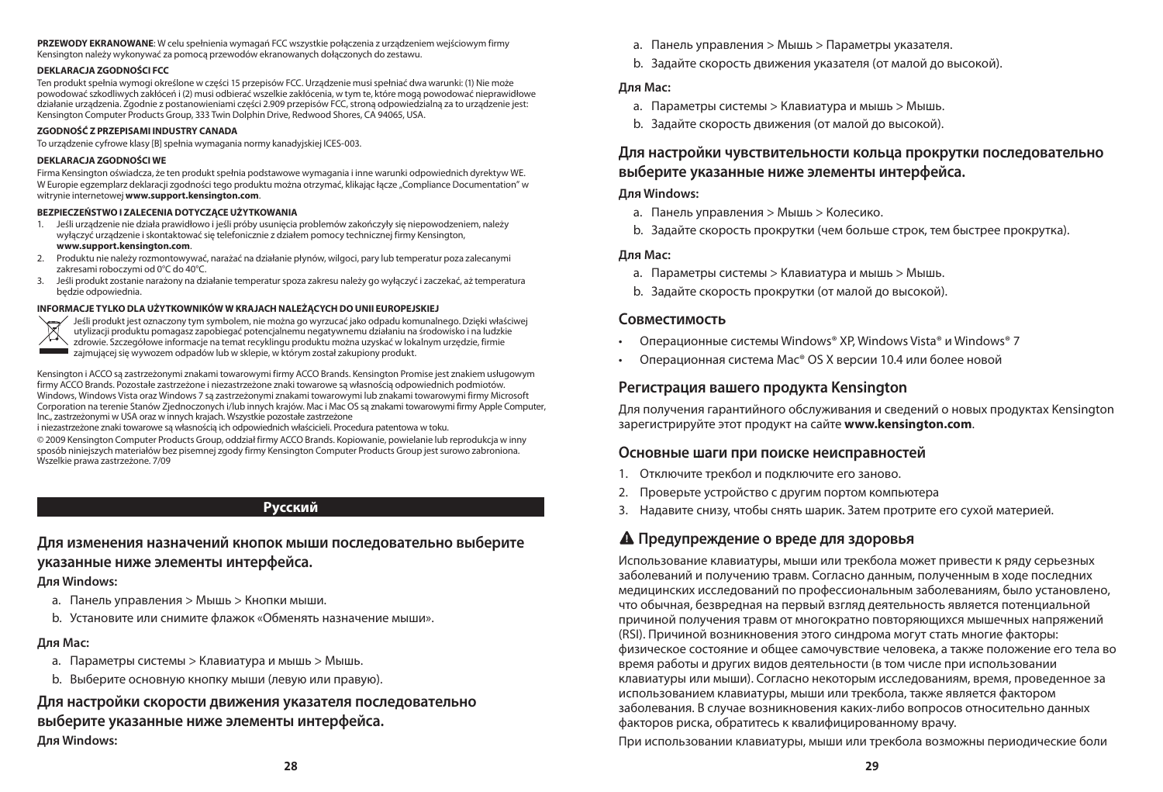#### **DEKLARACJA ZGODNOŚCI FCC**

Ten produkt spełnia wymogi określone w części 15 przepisów FCC. Urządzenie musi spełniać dwa warunki: (1) Nie może powodować szkodliwych zakłóceń i (2) musi odbierać wszelkie zakłócenia, w tym te, które mogą powodować nieprawidłowe działanie urządzenia. Zgodnie z postanowieniami części 2.909 przepisów FCC,stroną odpowiedzialną za to urządzenie jest: Kensington Computer Products Group, 333 Twin Dolphin Drive, Redwood Shores, CA 94065, USA.

#### **ZGODNOŚĆ Z PRZEPISAMI INDUSTRY CANADA**

To urządzenie cyfrowe klasy [B]spełnia wymagania normy kanadyjskiej ICES-003.

#### **DEKLARACJA ZGODNOŚCI WE**

Firma Kensington oświadcza, że ten produkt spełnia podstawowe wymagania i inne warunki odpowiednich dyrektyw WE. W Europie egzemplarz deklaracji zgodności tego produktu można otrzymać, klikając łącze "Compliance Documentation" w witrynie internetowej **www.support.kensington.com**.

#### **BEZPIECZEŃSTWO I ZALECENIA DOTYCZĄCE UŻYTKOWANIA**

- 1. Jeśli urządzenie nie działa prawidłowo i jeśli próby usunięcia problemów zakończyły się niepowodzeniem, należy wyłączyć urządzenie iskontaktować się telefonicznie z działem pomocy technicznej firmy Kensington, **www.support.kensington.com**.
- 2. Produktu nie należy rozmontowywać, narażać na działanie płynów, wilgoci, pary lub temperatur poza zalecanymi zakresami roboczymi od 0°C do 40°C.
- 3. Jeśli produkt zostanie narażony na działanie temperaturspoza zakresu należy go wyłączyć i zaczekać, aż temperatura będzie odpowiednia.

#### **INFORMACJE TYLKO DLA UŻYTKOWNIKÓW W KRAJACH NALEŻĄCYCH DO UNII EUROPEJSKIEJ**



Jeśli produkt jest oznaczony tym symbolem, nie można go wyrzucać jako odpadu komunalnego. Dzięki właściwej utylizacji produktu pomagasz zapobiegać potencjalnemu negatywnemu działaniu na środowisko i na ludzkie zdrowie. Szczegółowe informacje na temat recyklingu produktu można uzyskać w lokalnym urzędzie, firmie zajmującejsię wywozem odpadów lub w sklepie, w którym został zakupiony produkt.

Kensington i ACCO są zastrzeżonymi znakami towarowymi firmy ACCO Brands. Kensington Promise jest znakiem usługowym firmy ACCO Brands. Pozostałe zastrzeżone i niezastrzeżone znaki towarowe są własnością odpowiednich podmiotów. Windows, Windows Vista oraz Windows 7 są zastrzeżonymi znakami towarowymi lub znakami towarowymi firmy Microsoft Corporation na terenie Stanów Zjednoczonych i/lub innych krajów. Mac i Mac OS są znakami towarowymi firmy Apple Computer, Inc., zastrzeżonymi w USA oraz w innych krajach. Wszystkie pozostałe zastrzeżone

i niezastrzeżone znaki towarowe są własnością ich odpowiednich właścicieli. Procedura patentowa w toku.

© 2009 Kensington Computer Products Group, oddział firmy ACCO Brands. Kopiowanie, powielanie lub reprodukcja w inny sposób niniejszych materiałów bez pisemnej zgody firmy Kensington Computer Products Group jestsurowo zabroniona. Wszelkie prawa zastrzeżone. 7/09

### **Русский**

### **Для изменения назначений кнопок мыши последовательно выберите указанные ниже элементы интерфейса.**

#### **Для Windows:**

- a. Панель управления > Мышь > Кнопки мыши.
- b. Установите или снимите флажок «Обменять назначение мыши».

### **Для Mac:**

- a. Параметры системы > Клавиатура и мышь > Мышь.
- b. Выберите основную кнопку мыши (левую или правую).

### **Для настройки скорости движения указателя последовательно выберите указанные ниже элементы интерфейса. Для Windows:**

- a. Панель управления > Мышь > Параметры указателя.
- b. Задайте скорость движения указателя (от малой до высокой).

#### **Для Mac:**

- a. Параметры системы > Клавиатура и мышь > Мышь.
- b. Задайте скорость движения (от малой до высокой).

### **Для настройки чувствительности кольца прокрутки последовательно выберите указанные ниже элементы интерфейса.**

#### **Для Windows:**

- a. Панель управления > Мышь > Колесико.
- b. Задайте скорость прокрутки (чем больше строк, тем быстрее прокрутка).

#### **Для Mac:**

- a. Параметры системы > Клавиатура и мышь > Мышь.
- b. Задайте скорость прокрутки (от малой до высокой).

### **Совместимость**

- • Операционные системы Windows® XP, Windows Vista® и Windows® 7
- Операционная система Mac® OS X версии 10.4 или более новой

### **Регистрация вашего продукта Kensington**

Для получения гарантийного обслуживания и сведений о новых продуктах Kensington зарегистрируйте этот продукт на сайте **www.kensington.com**.

### **Основные шаги при поиске неисправностей**

- 1. Отключите трекбол и подключите его заново.
- 2. Проверьте устройство с другим портом компьютера
- 3. Надавите снизу, чтобы снять шарик. Затем протрите его сухой материей.

### **Предупреждение о вреде для здоровья**

Использование клавиатуры, мыши или трекбола может привести к ряду серьезных заболеваний и получению травм. Согласно данным, полученным в ходе последних медицинских исследований по профессиональным заболеваниям, было установлено, что обычная, безвредная на первый взгляд деятельность является потенциальной причиной получения травм от многократно повторяющихся мышечных напряжений (RSI). Причиной возникновения этого синдрома могут стать многие факторы: физическое состояние и общее самочувствие человека, а также положение его тела во время работы и других видов деятельности (в том числе при использовании клавиатуры или мыши). Согласно некоторым исследованиям, время, проведенное за использованием клавиатуры, мыши или трекбола, также является фактором заболевания. В случае возникновения каких-либо вопросов относительно данных факторов риска, обратитесь к квалифицированному врачу.

При использовании клавиатуры, мыши или трекбола возможны периодические боли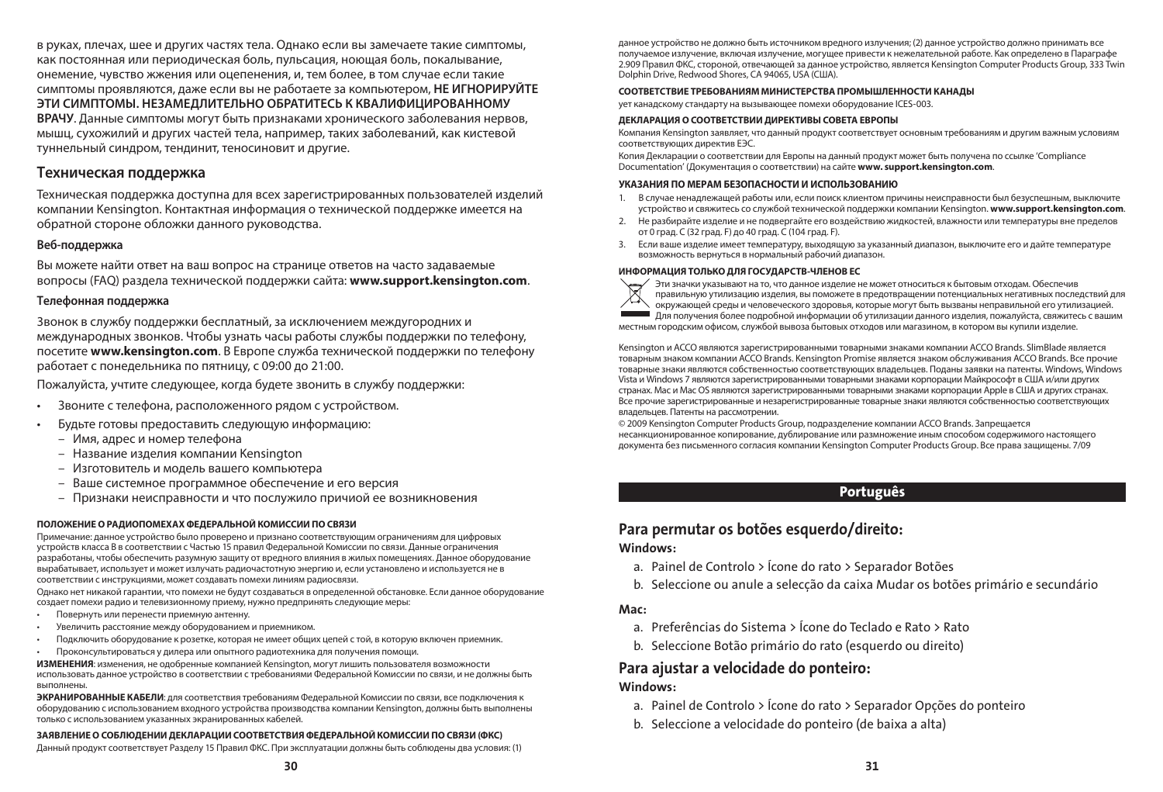в руках, плечах, шее и других частях тела. Однако если вы замечаете такие симптомы, как постоянная или периодическая боль, пульсация, ноющая боль, покалывание, онемение, чувство жжения или оцепенения, и, тем более, в том случае если такие симптомы проявляются, даже если вы не работаете за компьютером, **НЕ ИГНОРИРУЙТЕ ЭТИ СИМПТОМЫ. НЕЗАМЕДЛИТЕЛЬНО ОБРАТИТЕСЬ К КВАЛИФИЦИРОВАННОМУ ВРАЧУ**. Данные симптомы могут быть признаками хронического заболевания нервов, мышц, сухожилий и других частей тела, например, таких заболеваний, как кистевой туннельный синдром, тендинит, теносиновит и другие.

#### **Техническая поддержка**

Техническая поддержка доступна для всех зарегистрированных пользователей изделий компании Kensington. Контактная информация о технической поддержке имеется на обратной стороне обложки данного руководства.

#### **Веб-поддержка**

Вы можете найти ответ на ваш вопрос на странице ответов на часто задаваемые вопросы (FAQ) раздела технической поддержки сайта: **www.support.kensington.com**.

#### **Телефонная поддержка**

3вонок в службу поддержки бесплатный, за исключением междугородних и международных звонков. Чтобы узнать часы работы службы поддержки по телефону, посетите **www.kensington.com**. В Европе служба технической поддержки по телефону работает с понедельника по пятницу, с 09:00 до 21:00.

Пожалуйста, учтите следующее, когда будете звонить в службу поддержки:

- Звоните с телефона, расположенного рядом с устройством.
- Будьте готовы предоставить следующую информацию:
	- – Имя, адрес и номер телефона
	- Название изделия компании Kensington
	- – Изготовитель и модель вашего компьютера
	- Ваше системное программное обеспечение и его версия
	- Признаки неисправности и что послужило причиой ее возникновения

#### **ПОЛОЖЕНИЕ О РАДИОПОМЕХАХ ФЕДЕРАЛЬНОЙ КОМИССИИ ПО СВЯЗИ**

Примечание: данное устройство было проверено и признано соответствующим ограничениям для цифровых устройств класса B в соответствии с Частью 15 правил Федеральной Комиссии по связи. Данные ограничения разработаны, чтобы обеспечить разумную защиту от вредного влияния в жилых помещениях. Данное оборудование вырабатывает, использует и может излучать радиочастотную энергию и, если установлено и используется не в соответствии с инструкциями, может создавать помехи линиям радиосвязи.

Однако нет никакой гарантии, что помехи не будут создаваться в определенной обстановке. Если данное оборудование создает помехи радио и телевизионному приему, нужно предпринять следующие меры:

- Повернуть или перенести приемную антенну.
- Увеличить расстояние между оборудованием и приемником.
- Подключить оборудование к розетке, которая не имеет общих цепей с той, в которую включен приемник.
- Проконсультироваться у дилера или опытного радиотехника для получения помощи.

**ИЗМЕНЕНИЯ**: изменения, не одобренные компанией Kensington, могут лишить пользователя возможности использовать данное устройство в соответствии с требованиями Федеральной Комиссии по связи, и не должны быть выполнены.

**ЭКРАНИРОВАННЫЕ КАБЕЛИ**: для соответствия требованиям Федеральной Комиссии по связи, все подключения к оборудованию с использованием входного устройства производства компании Kensington, должны быть выполнены только с использованием указанных экранированных кабелей.

#### **ЗАЯВЛЕНИЕ О СОБЛЮДЕНИИ ДЕКЛАРАЦИИ СООТВЕТСТВИЯ ФЕДЕРАЛЬНОЙ КОМИССИИ ПО СВЯЗИ (ФКС)**

Данный продукт соответствует Разделу 15 Правил ФКС. При эксплуатации должны быть соблюдены два условия: (1)

#### **СООТВЕТСТВИЕ ТРЕБОВАНИЯМ МИНИСТЕРСТВА ПРОМЫШЛЕННОСТИ КАНАДЫ**

ует канадскому стандарту на вызывающее помехи оборудование ICES-003.

#### **ДЕКЛАРАЦИЯ О СООТВЕТСТВИИ ДИРЕКТИВЫ СОВЕТА ЕВРОПЫ**

Компания Kensington заявляет, что данный продукт соответствует основным требованиям и другим важным условиям соответствующих директив ЕЭС.

Копия Декларации о соответствии для Европы на данный продукт может быть получена по ссылке 'Compliance Documentation' (Документация о соответствии) на сайте **www. support.kensington.com**.

#### **УКАЗАНИЯ ПО МЕРАМ БЕЗОПАСНОСТИ И ИСПОЛЬЗОВАНИЮ**

- 1. В случае ненадлежащей работы или, если поиск клиентом причины неисправности был безуспешным, выключите устройство и свяжитесь со службой технической поддержки компании Kensington. **www.support.kensington.com**.
- 2. Не разбирайте изделие и не подвергайте его воздействию жидкостей, влажности или температуры вне пределов от 0 град. C (32 град. F) до 40 град. C (104 град. F).
- 3. Если ваше изделие имеет температуру, выходящую за указанный диапазон, выключите его и дайте температуре возможность вернуться в нормальный рабочий диапазон.



**ИНФОРМАЦИЯ ТОЛЬКО ДЛЯ ГОСУДАРСТВ-ЧЛЕНОВ ЕС** Эти значки указывают на то, что данное изделие не может относиться к бытовым отходам. Обеспечив правильную утилизацию изделия, вы поможете в предотвращении потенциальных негативных последствий для окружающей среды и человеческого здоровья, которые могут быть вызваны неправильной его утилизацией. Для получения более подробной информации об утилизации данного изделия, пожалуйста, свяжитесь с вашим местным городским офисом, службой вывоза бытовых отходов или магазином, в котором вы купили изделие.

Kensington и ACCO являются зарегистрированными товарными знаками компании ACCO Brands. SlimBlade является товарным знаком компании ACCO Brands. Kensington Promise является знаком обслуживания ACCO Brands. Все прочие товарные знаки являются собственностью соответствующих владельцев. Поданы заявки на патенты. Windows, Windows Vista и Windows 7 являются зарегистрированными товарными знаками корпорации Майкрософт в США и/или других странах. Mac и Mac OS являются зарегистрированными товарными знаками корпорации Apple в США и других странах. Все прочие зарегистрированные и незарегистрированные товарные знаки являются собственностью соответствующих владельцев. Патенты на рассмотрении.

© 2009 Kensington Computer Products Group, подразделение компании ACCO Brands. Запрещается несанкционированное копирование, дублирование или размножение иным способом содержимого настоящего документа без письменного согласия компании Kensington Computer Products Group. Все права защищены. 7/09

#### Português

### Para permutar os botões esquerdo/direito:

#### Windows:

- a. Painel de Controlo > Ícone do rato > Separador Botões
- b. Seleccione ou anule a selecção da caixa Mudar os botões primário e secundário

#### Mac:

- a. Preferências do Sistema > Ícone do Teclado e Rato > Rato
- b. Seleccione Botão primário do rato (esquerdo ou direito)

### Para ajustar a velocidade do ponteiro:

#### Windows:

- a. Painel de Controlo > Ícone do rato > Separador Opções do ponteiro
- b. Seleccione a velocidade do ponteiro (de baixa a alta)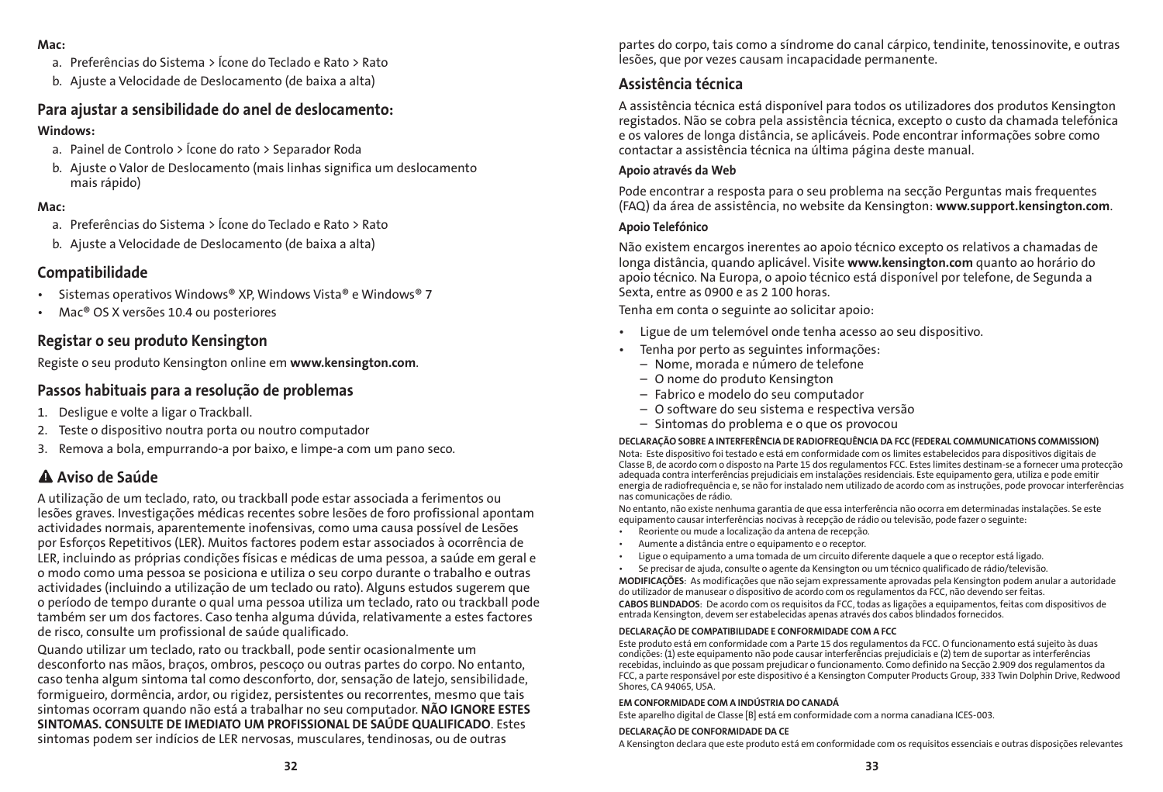#### Mac:

- a. Preferências do Sistema > Ícone do Teclado e Rato > Rato
- b. Ajuste a Velocidade de Deslocamento (de baixa a alta)

### Para ajustar a sensibilidade do anel de deslocamento:

### Windows:

- a. Painel de Controlo > Ícone do rato > Separador Roda
- b. Ajuste o Valor de Deslocamento (mais linhas significa um deslocamento mais rápido)

### Mac:

- a. Preferências do Sistema > Ícone do Teclado e Rato > Rato
- b. Ajuste a Velocidade de Deslocamento (de baixa a alta)

### Compatibilidade

- Sistemas operativos Windows® XP, Windows Vista® e Windows® 7
- • Mac® OS X versões 10.4 ou posteriores

### Registar o seu produto Kensington

Registe o seu produto Kensington online em www.kensington.com.

### Passos habituais para a resolução de problemas

- 1. Desligue e volte a ligar o Trackball.
- 2. Teste o dispositivo noutra porta ou noutro computador
- 3. Remova a bola, empurrando-a por baixo, e limpe-a com um pano seco.

### Aviso de Saúde

A utilização de um teclado, rato, ou trackball pode estar associada a ferimentos ou lesões graves. Investigações médicas recentes sobre lesões de foro profissional apontam actividades normais, aparentemente inofensivas, como uma causa possível de Lesões por Esforços Repetitivos (LER). Muitos factores podem estar associados à ocorrência de LER, incluindo as próprias condições físicas e médicas de uma pessoa, a saúde em geral e o modo como uma pessoa se posiciona e utiliza o seu corpo durante o trabalho e outras actividades (incluindo a utilização de um teclado ou rato). Alguns estudos sugerem que o período de tempo durante o qual uma pessoa utiliza um teclado, rato ou trackball pode também ser um dos factores. Caso tenha alguma dúvida, relativamente a estes factores de risco, consulte um profissional de saúde qualificado.

Quando utilizar um teclado, rato ou trackball, pode sentir ocasionalmente um desconforto nas mãos, braços, ombros, pescoço ou outras partes do corpo. No entanto, caso tenha algum sintoma tal como desconforto, dor, sensação de latejo, sensibilidade, formigueiro, dormência, ardor, ou rigidez, persistentes ou recorrentes, mesmo que tais sintomas ocorram quando não está a trabalhar no seu computador. NÃO IGNORE ESTES SINTOMAS. CONSULTE DE IMEDIATO UM PROFISSIONAL DE SAÚDE QUALIFICADO. Estes sintomas podem ser indícios de LER nervosas, musculares, tendinosas, ou de outras

partes do corpo, tais como a síndrome do canal cárpico, tendinite, tenossinovite, e outras lesões, que por vezes causam incapacidade permanente.

### Assistência técnica

A assistência técnica está disponível para todos os utilizadores dos produtos Kensington registados. Não se cobra pela assistência técnica, excepto o custo da chamada telefónica e os valores de longa distância, se aplicáveis. Pode encontrar informações sobre como contactar a assistência técnica na última página deste manual.

### Apoio através da Web

Pode encontrar a resposta para o seu problema na secção Perguntas mais frequentes (FAQ) da área de assistência, no website da Kensington: www.support.kensington.com.

### Apoio Telefónico

Não existem encargos inerentes ao apoio técnico excepto os relativos a chamadas de longa distância, quando aplicável. Visite www.kensington.com quanto ao horário do apoio técnico. Na Europa, o apoio técnico está disponível por telefone, de Segunda a Sexta, entre as 0900 e as 2 100 horas.

Tenha em conta o seguinte ao solicitar apoio:

- • Ligue de um telemóvel onde tenha acesso ao seu dispositivo.
- Tenha por perto as seguintes informações:
	- Nome, morada e número de telefone
	- O nome do produto Kensington
	- Fabrico e modelo do seu computador
	- O software do seu sistema e respectiva versão
	- Sintomas do problema e o que os provocou

#### DECLARAÇÃO SOBRE A INTERFERÊNCIA DE RADIOFREQUÊNCIA DA FCC (FEDERAL COMMUNICATIONS COMMISSION)

Nota: Este dispositivo foi testado e está em conformidade com os limites estabelecidos para dispositivos digitais de Classe B, de acordo com o disposto na Parte 15 dos regulamentos FCC. Estes limites destinam-se a fornecer uma protecção adequada contra interferências prejudiciais em instalações residenciais. Este equipamento gera, utiliza e pode emitir energia de radiofrequência e, se não for instalado nem utilizado de acordo com as instruções, pode provocar interferências nas comunicações de rádio.

No entanto, não existe nenhuma garantia de que essa interferência não ocorra em determinadas instalações. Se este equipamento causar interferências nocivas à recepção de rádio ou televisão, pode fazer o seguinte:

- • Reoriente ou mude a localização da antena de recepção.
- Aumente a distância entre o equipamento e o receptor.
- Ligue o equipamento a uma tomada de um circuito diferente daquele a que o receptor está ligado.
- Se precisar de ajuda, consulte o agente da Kensington ou um técnico qualificado de rádio/televisão.

MODIFICAÇÕES: As modificações que não sejam expressamente aprovadas pela Kensington podem anular a autoridade do utilizador de manusear o dispositivo de acordo com os regulamentos da FCC, não devendo ser feitas.

CABOS BLINDADOS: De acordo com os requisitos da FCC, todas as ligações a equipamentos, feitas com dispositivos de entrada Kensington, devem ser estabelecidas apenas através dos cabos blindados fornecidos.

#### DECLARAÇÃO DE COMPATIBILIDADE E CONFORMIDADE COM A FCC

Este produto está em conformidade com a Parte 15 dos regulamentos da FCC. O funcionamento está sujeito às duas condições: (1) este equipamento não pode causar interferências prejudiciais e (2) tem de suportar as interferências recebidas, incluindo as que possam prejudicar o funcionamento. Como definido na Secção 2.909 dos regulamentos da FCC, a parte responsável por este dispositivo é a Kensington Computer Products Group, 333 Twin Dolphin Drive, Redwood Shores, CA 94065, USA.

#### EM CONFORMIDADE COM A INDÚSTRIA DO CANADÁ

Este aparelho digital de Classe [B] está em conformidade com a norma canadiana ICES-003.

#### DECLARAÇÃO DE CONFORMIDADE DA CE

A Kensington declara que este produto está em conformidade com os requisitos essenciais e outras disposições relevantes